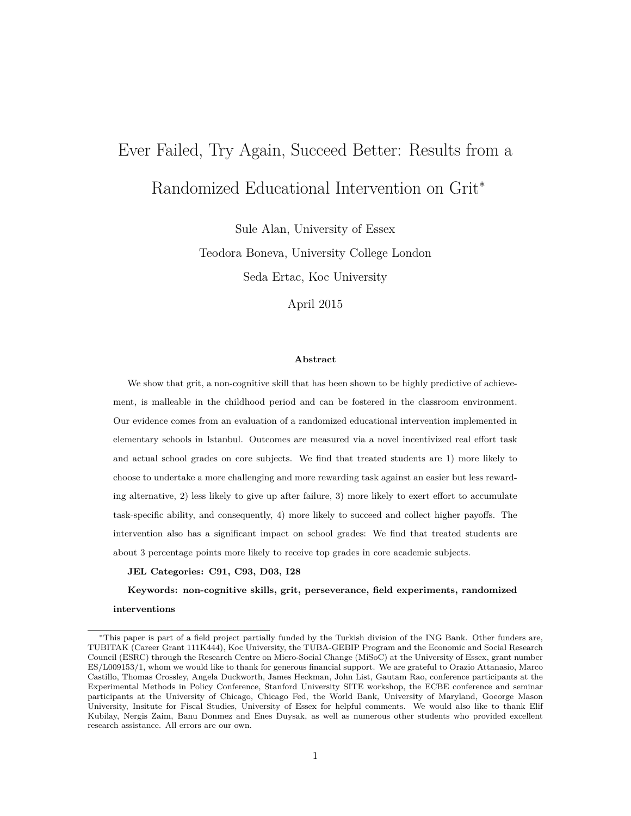# Ever Failed, Try Again, Succeed Better: Results from a Randomized Educational Intervention on Grit<sup>∗</sup>

Sule Alan, University of Essex

Teodora Boneva, University College London

Seda Ertac, Koc University

April 2015

#### **Abstract**

We show that grit, a non-cognitive skill that has been shown to be highly predictive of achievement, is malleable in the childhood period and can be fostered in the classroom environment. Our evidence comes from an evaluation of a randomized educational intervention implemented in elementary schools in Istanbul. Outcomes are measured via a novel incentivized real effort task and actual school grades on core subjects. We find that treated students are 1) more likely to choose to undertake a more challenging and more rewarding task against an easier but less rewarding alternative, 2) less likely to give up after failure, 3) more likely to exert effort to accumulate task-specific ability, and consequently, 4) more likely to succeed and collect higher payoffs. The intervention also has a significant impact on school grades: We find that treated students are about 3 percentage points more likely to receive top grades in core academic subjects.

#### **JEL Categories: C91, C93, D03, I28**

**Keywords: non-cognitive skills, grit, perseverance, field experiments, randomized**

#### **interventions**

<sup>∗</sup>This paper is part of a field project partially funded by the Turkish division of the ING Bank. Other funders are, TUBITAK (Career Grant 111K444), Koc University, the TUBA-GEBIP Program and the Economic and Social Research Council (ESRC) through the Research Centre on Micro-Social Change (MiSoC) at the University of Essex, grant number ES/L009153/1, whom we would like to thank for generous financial support. We are grateful to Orazio Attanasio, Marco Castillo, Thomas Crossley, Angela Duckworth, James Heckman, John List, Gautam Rao, conference participants at the Experimental Methods in Policy Conference, Stanford University SITE workshop, the ECBE conference and seminar participants at the University of Chicago, Chicago Fed, the World Bank, University of Maryland, Goeorge Mason University, Insitute for Fiscal Studies, University of Essex for helpful comments. We would also like to thank Elif Kubilay, Nergis Zaim, Banu Donmez and Enes Duysak, as well as numerous other students who provided excellent research assistance. All errors are our own.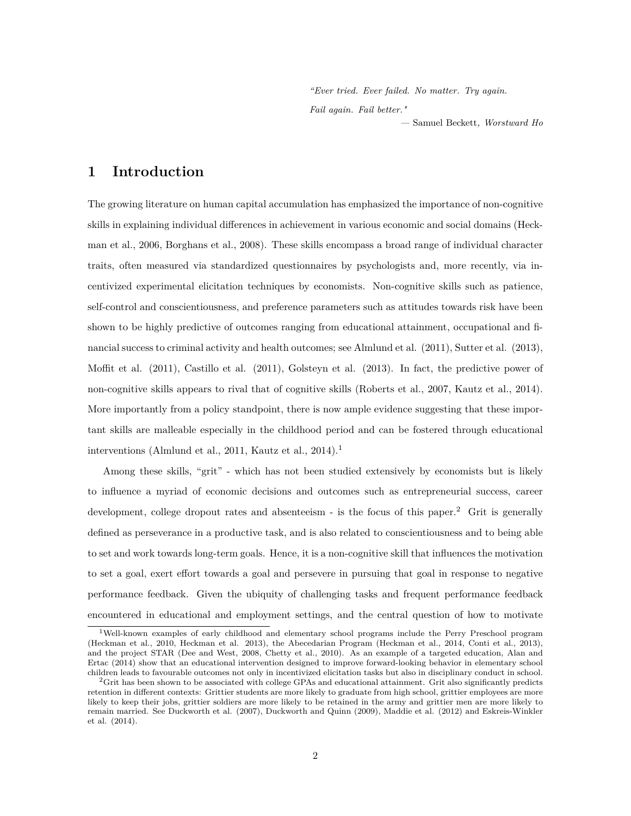*"Ever tried. Ever failed. No matter. Try again. Fail again. Fail better."*

*—* Samuel Beckett*, Worstward Ho*

## **1 Introduction**

The growing literature on human capital accumulation has emphasized the importance of non-cognitive skills in explaining individual differences in achievement in various economic and social domains (Heckman et al., 2006, Borghans et al., 2008). These skills encompass a broad range of individual character traits, often measured via standardized questionnaires by psychologists and, more recently, via incentivized experimental elicitation techniques by economists. Non-cognitive skills such as patience, self-control and conscientiousness, and preference parameters such as attitudes towards risk have been shown to be highly predictive of outcomes ranging from educational attainment, occupational and financial success to criminal activity and health outcomes; see Almlund et al. (2011), Sutter et al. (2013), Moffit et al. (2011), Castillo et al. (2011), Golsteyn et al. (2013). In fact, the predictive power of non-cognitive skills appears to rival that of cognitive skills (Roberts et al., 2007, Kautz et al., 2014). More importantly from a policy standpoint, there is now ample evidence suggesting that these important skills are malleable especially in the childhood period and can be fostered through educational interventions (Almlund et al., 2011, Kautz et al., 2014).<sup>1</sup>

Among these skills, "grit" - which has not been studied extensively by economists but is likely to influence a myriad of economic decisions and outcomes such as entrepreneurial success, career development, college dropout rates and absenteeism - is the focus of this paper.<sup>2</sup> Grit is generally defined as perseverance in a productive task, and is also related to conscientiousness and to being able to set and work towards long-term goals. Hence, it is a non-cognitive skill that influences the motivation to set a goal, exert effort towards a goal and persevere in pursuing that goal in response to negative performance feedback. Given the ubiquity of challenging tasks and frequent performance feedback encountered in educational and employment settings, and the central question of how to motivate

<sup>1</sup>Well-known examples of early childhood and elementary school programs include the Perry Preschool program (Heckman et al., 2010, Heckman et al. 2013), the Abecedarian Program (Heckman et al., 2014, Conti et al., 2013), and the project STAR (Dee and West, 2008, Chetty et al., 2010). As an example of a targeted education, Alan and Ertac (2014) show that an educational intervention designed to improve forward-looking behavior in elementary school children leads to favourable outcomes not only in incentivized elicitation tasks but also in disciplinary conduct in school.

 ${}^{2}$ Grit has been shown to be associated with college GPAs and educational attainment. Grit also significantly predicts retention in different contexts: Grittier students are more likely to graduate from high school, grittier employees are more likely to keep their jobs, grittier soldiers are more likely to be retained in the army and grittier men are more likely to remain married. See Duckworth et al. (2007), Duckworth and Quinn (2009), Maddie et al. (2012) and Eskreis-Winkler et al. (2014).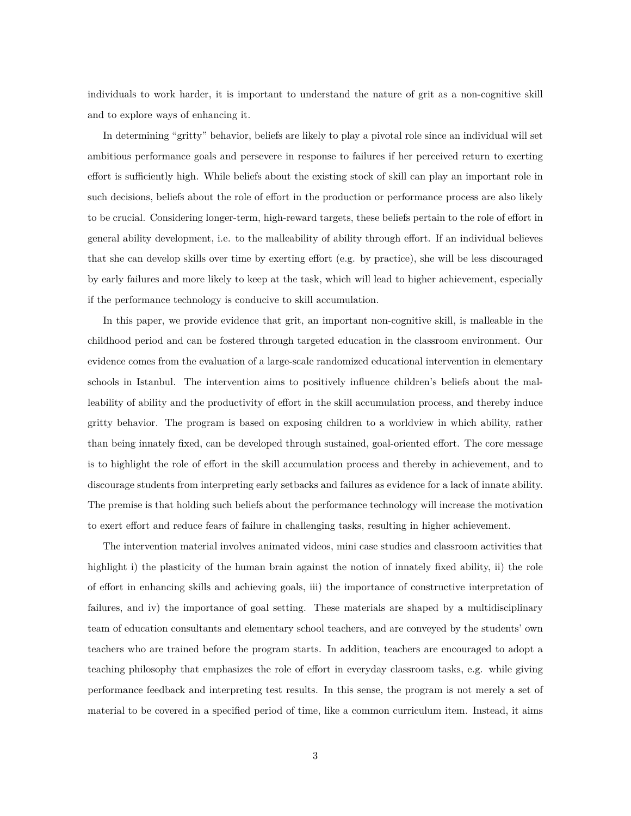individuals to work harder, it is important to understand the nature of grit as a non-cognitive skill and to explore ways of enhancing it.

In determining "gritty" behavior, beliefs are likely to play a pivotal role since an individual will set ambitious performance goals and persevere in response to failures if her perceived return to exerting effort is sufficiently high. While beliefs about the existing stock of skill can play an important role in such decisions, beliefs about the role of effort in the production or performance process are also likely to be crucial. Considering longer-term, high-reward targets, these beliefs pertain to the role of effort in general ability development, i.e. to the malleability of ability through effort. If an individual believes that she can develop skills over time by exerting effort (e.g. by practice), she will be less discouraged by early failures and more likely to keep at the task, which will lead to higher achievement, especially if the performance technology is conducive to skill accumulation.

In this paper, we provide evidence that grit, an important non-cognitive skill, is malleable in the childhood period and can be fostered through targeted education in the classroom environment. Our evidence comes from the evaluation of a large-scale randomized educational intervention in elementary schools in Istanbul. The intervention aims to positively influence children's beliefs about the malleability of ability and the productivity of effort in the skill accumulation process, and thereby induce gritty behavior. The program is based on exposing children to a worldview in which ability, rather than being innately fixed, can be developed through sustained, goal-oriented effort. The core message is to highlight the role of effort in the skill accumulation process and thereby in achievement, and to discourage students from interpreting early setbacks and failures as evidence for a lack of innate ability. The premise is that holding such beliefs about the performance technology will increase the motivation to exert effort and reduce fears of failure in challenging tasks, resulting in higher achievement.

The intervention material involves animated videos, mini case studies and classroom activities that highlight i) the plasticity of the human brain against the notion of innately fixed ability, ii) the role of effort in enhancing skills and achieving goals, iii) the importance of constructive interpretation of failures, and iv) the importance of goal setting. These materials are shaped by a multidisciplinary team of education consultants and elementary school teachers, and are conveyed by the students' own teachers who are trained before the program starts. In addition, teachers are encouraged to adopt a teaching philosophy that emphasizes the role of effort in everyday classroom tasks, e.g. while giving performance feedback and interpreting test results. In this sense, the program is not merely a set of material to be covered in a specified period of time, like a common curriculum item. Instead, it aims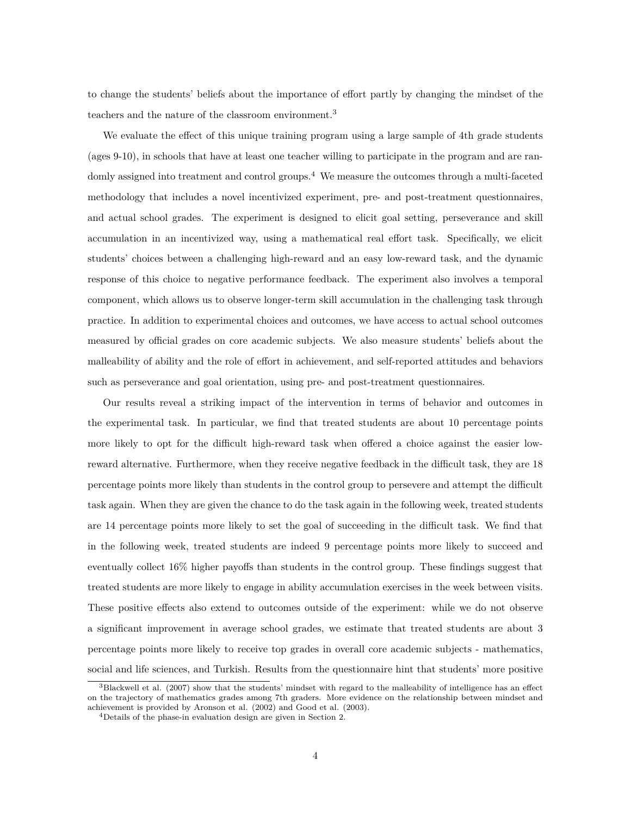to change the students' beliefs about the importance of effort partly by changing the mindset of the teachers and the nature of the classroom environment.<sup>3</sup>

We evaluate the effect of this unique training program using a large sample of 4th grade students (ages 9-10), in schools that have at least one teacher willing to participate in the program and are randomly assigned into treatment and control groups.<sup>4</sup> We measure the outcomes through a multi-faceted methodology that includes a novel incentivized experiment, pre- and post-treatment questionnaires, and actual school grades. The experiment is designed to elicit goal setting, perseverance and skill accumulation in an incentivized way, using a mathematical real effort task. Specifically, we elicit students' choices between a challenging high-reward and an easy low-reward task, and the dynamic response of this choice to negative performance feedback. The experiment also involves a temporal component, which allows us to observe longer-term skill accumulation in the challenging task through practice. In addition to experimental choices and outcomes, we have access to actual school outcomes measured by official grades on core academic subjects. We also measure students' beliefs about the malleability of ability and the role of effort in achievement, and self-reported attitudes and behaviors such as perseverance and goal orientation, using pre- and post-treatment questionnaires.

Our results reveal a striking impact of the intervention in terms of behavior and outcomes in the experimental task. In particular, we find that treated students are about 10 percentage points more likely to opt for the difficult high-reward task when offered a choice against the easier lowreward alternative. Furthermore, when they receive negative feedback in the difficult task, they are 18 percentage points more likely than students in the control group to persevere and attempt the difficult task again. When they are given the chance to do the task again in the following week, treated students are 14 percentage points more likely to set the goal of succeeding in the difficult task. We find that in the following week, treated students are indeed 9 percentage points more likely to succeed and eventually collect 16% higher payoffs than students in the control group. These findings suggest that treated students are more likely to engage in ability accumulation exercises in the week between visits. These positive effects also extend to outcomes outside of the experiment: while we do not observe a significant improvement in average school grades, we estimate that treated students are about 3 percentage points more likely to receive top grades in overall core academic subjects - mathematics, social and life sciences, and Turkish. Results from the questionnaire hint that students' more positive

<sup>3</sup>Blackwell et al. (2007) show that the students' mindset with regard to the malleability of intelligence has an effect on the trajectory of mathematics grades among 7th graders. More evidence on the relationship between mindset and achievement is provided by Aronson et al. (2002) and Good et al. (2003).

<sup>4</sup>Details of the phase-in evaluation design are given in Section 2.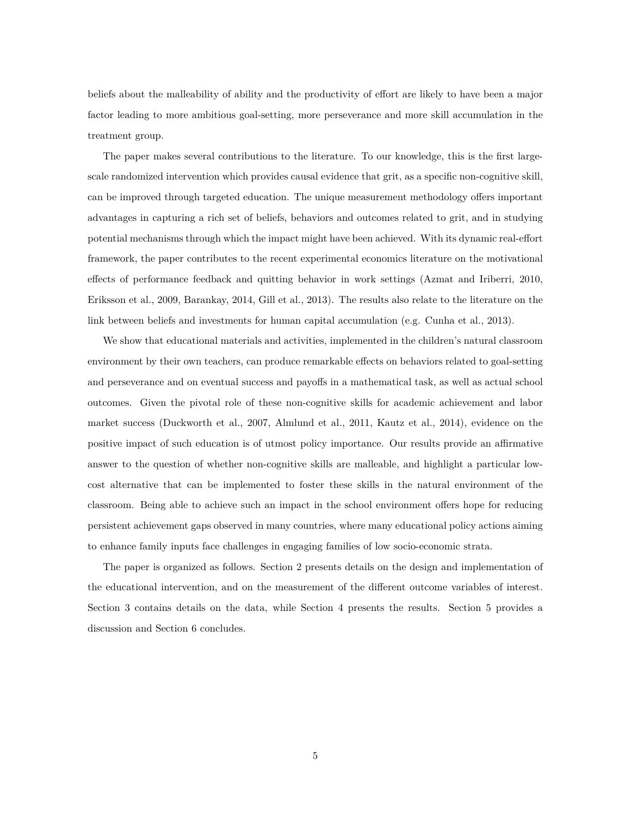beliefs about the malleability of ability and the productivity of effort are likely to have been a major factor leading to more ambitious goal-setting, more perseverance and more skill accumulation in the treatment group.

The paper makes several contributions to the literature. To our knowledge, this is the first largescale randomized intervention which provides causal evidence that grit, as a specific non-cognitive skill, can be improved through targeted education. The unique measurement methodology offers important advantages in capturing a rich set of beliefs, behaviors and outcomes related to grit, and in studying potential mechanisms through which the impact might have been achieved. With its dynamic real-effort framework, the paper contributes to the recent experimental economics literature on the motivational effects of performance feedback and quitting behavior in work settings (Azmat and Iriberri, 2010, Eriksson et al., 2009, Barankay, 2014, Gill et al., 2013). The results also relate to the literature on the link between beliefs and investments for human capital accumulation (e.g. Cunha et al., 2013).

We show that educational materials and activities, implemented in the children's natural classroom environment by their own teachers, can produce remarkable effects on behaviors related to goal-setting and perseverance and on eventual success and payoffs in a mathematical task, as well as actual school outcomes. Given the pivotal role of these non-cognitive skills for academic achievement and labor market success (Duckworth et al., 2007, Almlund et al., 2011, Kautz et al., 2014), evidence on the positive impact of such education is of utmost policy importance. Our results provide an affirmative answer to the question of whether non-cognitive skills are malleable, and highlight a particular lowcost alternative that can be implemented to foster these skills in the natural environment of the classroom. Being able to achieve such an impact in the school environment offers hope for reducing persistent achievement gaps observed in many countries, where many educational policy actions aiming to enhance family inputs face challenges in engaging families of low socio-economic strata.

The paper is organized as follows. Section 2 presents details on the design and implementation of the educational intervention, and on the measurement of the different outcome variables of interest. Section 3 contains details on the data, while Section 4 presents the results. Section 5 provides a discussion and Section 6 concludes.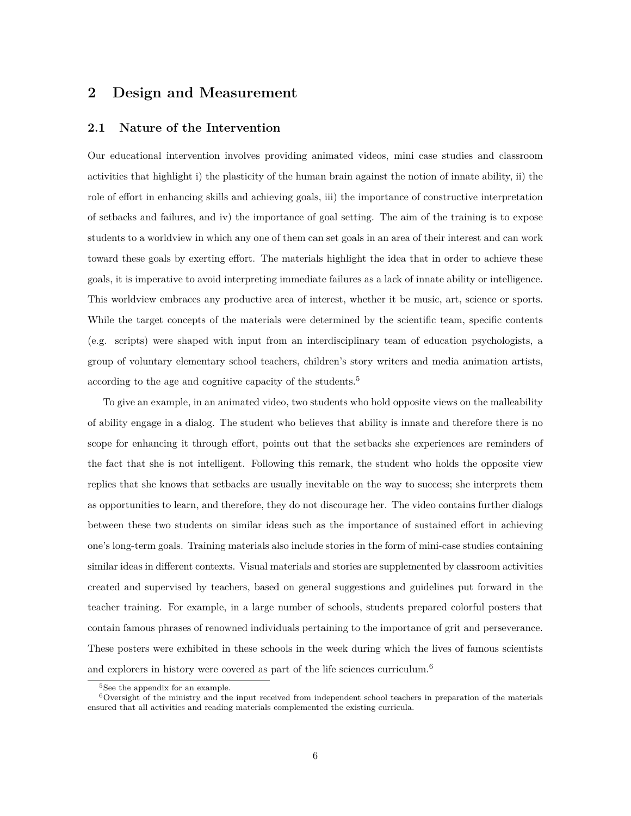### **2 Design and Measurement**

#### **2.1 Nature of the Intervention**

Our educational intervention involves providing animated videos, mini case studies and classroom activities that highlight i) the plasticity of the human brain against the notion of innate ability, ii) the role of effort in enhancing skills and achieving goals, iii) the importance of constructive interpretation of setbacks and failures, and iv) the importance of goal setting. The aim of the training is to expose students to a worldview in which any one of them can set goals in an area of their interest and can work toward these goals by exerting effort. The materials highlight the idea that in order to achieve these goals, it is imperative to avoid interpreting immediate failures as a lack of innate ability or intelligence. This worldview embraces any productive area of interest, whether it be music, art, science or sports. While the target concepts of the materials were determined by the scientific team, specific contents (e.g. scripts) were shaped with input from an interdisciplinary team of education psychologists, a group of voluntary elementary school teachers, children's story writers and media animation artists, according to the age and cognitive capacity of the students.<sup>5</sup>

To give an example, in an animated video, two students who hold opposite views on the malleability of ability engage in a dialog. The student who believes that ability is innate and therefore there is no scope for enhancing it through effort, points out that the setbacks she experiences are reminders of the fact that she is not intelligent. Following this remark, the student who holds the opposite view replies that she knows that setbacks are usually inevitable on the way to success; she interprets them as opportunities to learn, and therefore, they do not discourage her. The video contains further dialogs between these two students on similar ideas such as the importance of sustained effort in achieving one's long-term goals. Training materials also include stories in the form of mini-case studies containing similar ideas in different contexts. Visual materials and stories are supplemented by classroom activities created and supervised by teachers, based on general suggestions and guidelines put forward in the teacher training. For example, in a large number of schools, students prepared colorful posters that contain famous phrases of renowned individuals pertaining to the importance of grit and perseverance. These posters were exhibited in these schools in the week during which the lives of famous scientists and explorers in history were covered as part of the life sciences curriculum.<sup>6</sup>

<sup>&</sup>lt;sup>5</sup>See the appendix for an example.

 $6$ Oversight of the ministry and the input received from independent school teachers in preparation of the materials ensured that all activities and reading materials complemented the existing curricula.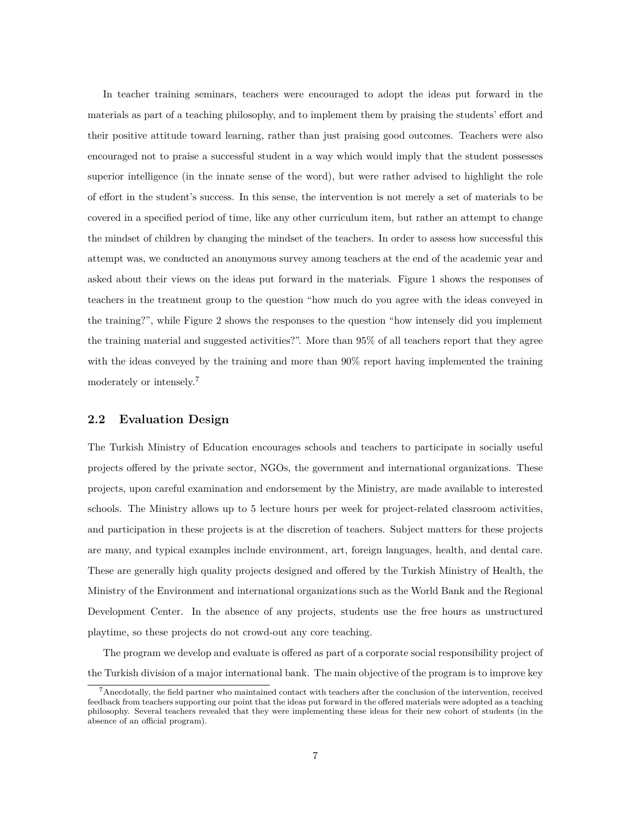In teacher training seminars, teachers were encouraged to adopt the ideas put forward in the materials as part of a teaching philosophy, and to implement them by praising the students' effort and their positive attitude toward learning, rather than just praising good outcomes. Teachers were also encouraged not to praise a successful student in a way which would imply that the student possesses superior intelligence (in the innate sense of the word), but were rather advised to highlight the role of effort in the student's success. In this sense, the intervention is not merely a set of materials to be covered in a specified period of time, like any other curriculum item, but rather an attempt to change the mindset of children by changing the mindset of the teachers. In order to assess how successful this attempt was, we conducted an anonymous survey among teachers at the end of the academic year and asked about their views on the ideas put forward in the materials. Figure 1 shows the responses of teachers in the treatment group to the question "how much do you agree with the ideas conveyed in the training?", while Figure 2 shows the responses to the question "how intensely did you implement the training material and suggested activities?". More than 95% of all teachers report that they agree with the ideas conveyed by the training and more than  $90\%$  report having implemented the training moderately or intensely.<sup>7</sup>

### **2.2 Evaluation Design**

The Turkish Ministry of Education encourages schools and teachers to participate in socially useful projects offered by the private sector, NGOs, the government and international organizations. These projects, upon careful examination and endorsement by the Ministry, are made available to interested schools. The Ministry allows up to 5 lecture hours per week for project-related classroom activities, and participation in these projects is at the discretion of teachers. Subject matters for these projects are many, and typical examples include environment, art, foreign languages, health, and dental care. These are generally high quality projects designed and offered by the Turkish Ministry of Health, the Ministry of the Environment and international organizations such as the World Bank and the Regional Development Center. In the absence of any projects, students use the free hours as unstructured playtime, so these projects do not crowd-out any core teaching.

The program we develop and evaluate is offered as part of a corporate social responsibility project of the Turkish division of a major international bank. The main objective of the program is to improve key

<sup>7</sup>Anecdotally, the field partner who maintained contact with teachers after the conclusion of the intervention, received feedback from teachers supporting our point that the ideas put forward in the offered materials were adopted as a teaching philosophy. Several teachers revealed that they were implementing these ideas for their new cohort of students (in the absence of an official program).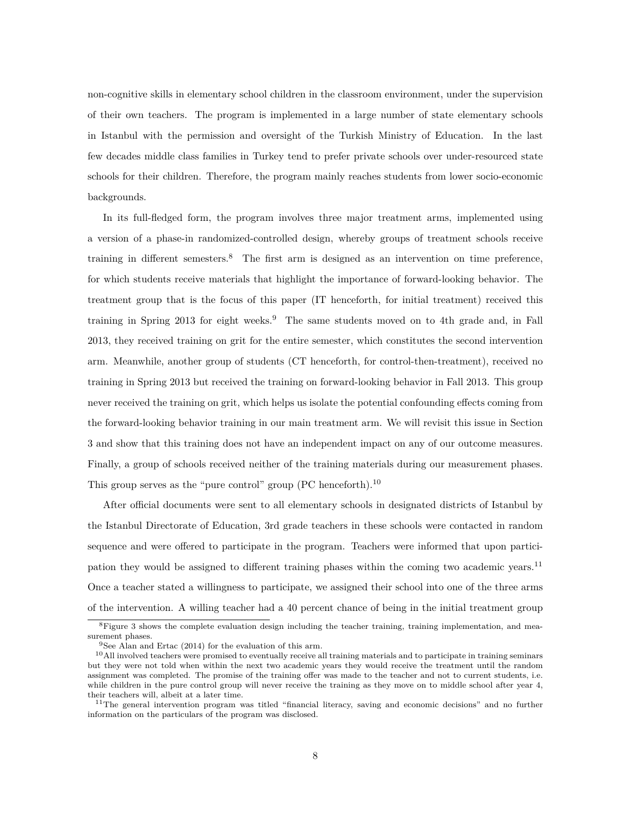non-cognitive skills in elementary school children in the classroom environment, under the supervision of their own teachers. The program is implemented in a large number of state elementary schools in Istanbul with the permission and oversight of the Turkish Ministry of Education. In the last few decades middle class families in Turkey tend to prefer private schools over under-resourced state schools for their children. Therefore, the program mainly reaches students from lower socio-economic backgrounds.

In its full-fledged form, the program involves three major treatment arms, implemented using a version of a phase-in randomized-controlled design, whereby groups of treatment schools receive training in different semesters.<sup>8</sup> The first arm is designed as an intervention on time preference, for which students receive materials that highlight the importance of forward-looking behavior. The treatment group that is the focus of this paper (IT henceforth, for initial treatment) received this training in Spring 2013 for eight weeks.<sup>9</sup> The same students moved on to 4th grade and, in Fall 2013, they received training on grit for the entire semester, which constitutes the second intervention arm. Meanwhile, another group of students (CT henceforth, for control-then-treatment), received no training in Spring 2013 but received the training on forward-looking behavior in Fall 2013. This group never received the training on grit, which helps us isolate the potential confounding effects coming from the forward-looking behavior training in our main treatment arm. We will revisit this issue in Section 3 and show that this training does not have an independent impact on any of our outcome measures. Finally, a group of schools received neither of the training materials during our measurement phases. This group serves as the "pure control" group (PC henceforth).<sup>10</sup>

After official documents were sent to all elementary schools in designated districts of Istanbul by the Istanbul Directorate of Education, 3rd grade teachers in these schools were contacted in random sequence and were offered to participate in the program. Teachers were informed that upon participation they would be assigned to different training phases within the coming two academic years.<sup>11</sup> Once a teacher stated a willingness to participate, we assigned their school into one of the three arms of the intervention. A willing teacher had a 40 percent chance of being in the initial treatment group

 ${}^{8}$ Figure 3 shows the complete evaluation design including the teacher training, training implementation, and measurement phases.

<sup>9</sup>See Alan and Ertac (2014) for the evaluation of this arm.

 $10$ All involved teachers were promised to eventually receive all training materials and to participate in training seminars but they were not told when within the next two academic years they would receive the treatment until the random assignment was completed. The promise of the training offer was made to the teacher and not to current students, i.e. while children in the pure control group will never receive the training as they move on to middle school after year 4, their teachers will, albeit at a later time.

 $11$ The general intervention program was titled "financial literacy, saving and economic decisions" and no further information on the particulars of the program was disclosed.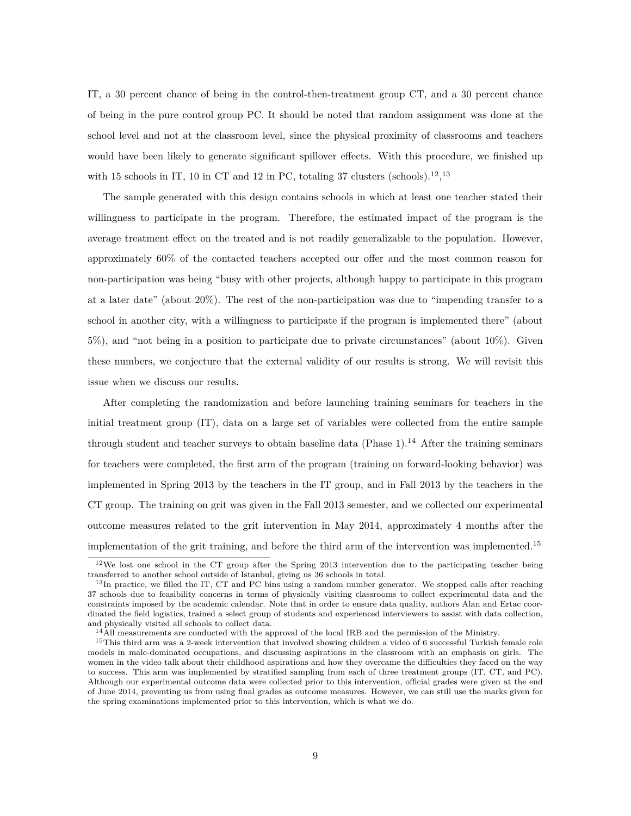IT, a 30 percent chance of being in the control-then-treatment group CT, and a 30 percent chance of being in the pure control group PC. It should be noted that random assignment was done at the school level and not at the classroom level, since the physical proximity of classrooms and teachers would have been likely to generate significant spillover effects. With this procedure, we finished up with 15 schools in IT, 10 in CT and 12 in PC, totaling 37 clusters (schools).<sup>12</sup>,<sup>13</sup>

The sample generated with this design contains schools in which at least one teacher stated their willingness to participate in the program. Therefore, the estimated impact of the program is the average treatment effect on the treated and is not readily generalizable to the population. However, approximately 60% of the contacted teachers accepted our offer and the most common reason for non-participation was being "busy with other projects, although happy to participate in this program at a later date" (about 20%). The rest of the non-participation was due to "impending transfer to a school in another city, with a willingness to participate if the program is implemented there" (about 5%), and "not being in a position to participate due to private circumstances" (about 10%). Given these numbers, we conjecture that the external validity of our results is strong. We will revisit this issue when we discuss our results.

After completing the randomization and before launching training seminars for teachers in the initial treatment group (IT), data on a large set of variables were collected from the entire sample through student and teacher surveys to obtain baseline data (Phase  $1$ ).<sup>14</sup> After the training seminars for teachers were completed, the first arm of the program (training on forward-looking behavior) was implemented in Spring 2013 by the teachers in the IT group, and in Fall 2013 by the teachers in the CT group. The training on grit was given in the Fall 2013 semester, and we collected our experimental outcome measures related to the grit intervention in May 2014, approximately 4 months after the implementation of the grit training, and before the third arm of the intervention was implemented.<sup>15</sup>

<sup>12</sup>We lost one school in the CT group after the Spring 2013 intervention due to the participating teacher being transferred to another school outside of Istanbul, giving us 36 schools in total.

 $13$ In practice, we filled the IT, CT and PC bins using a random number generator. We stopped calls after reaching 37 schools due to feasibility concerns in terms of physically visiting classrooms to collect experimental data and the constraints imposed by the academic calendar. Note that in order to ensure data quality, authors Alan and Ertac coordinated the field logistics, trained a select group of students and experienced interviewers to assist with data collection, and physically visited all schools to collect data.

<sup>14</sup>All measurements are conducted with the approval of the local IRB and the permission of the Ministry.

<sup>&</sup>lt;sup>15</sup>This third arm was a 2-week intervention that involved showing children a video of 6 successful Turkish female role models in male-dominated occupations, and discussing aspirations in the classroom with an emphasis on girls. The women in the video talk about their childhood aspirations and how they overcame the difficulties they faced on the way to success. This arm was implemented by stratified sampling from each of three treatment groups (IT, CT, and PC). Although our experimental outcome data were collected prior to this intervention, official grades were given at the end of June 2014, preventing us from using final grades as outcome measures. However, we can still use the marks given for the spring examinations implemented prior to this intervention, which is what we do.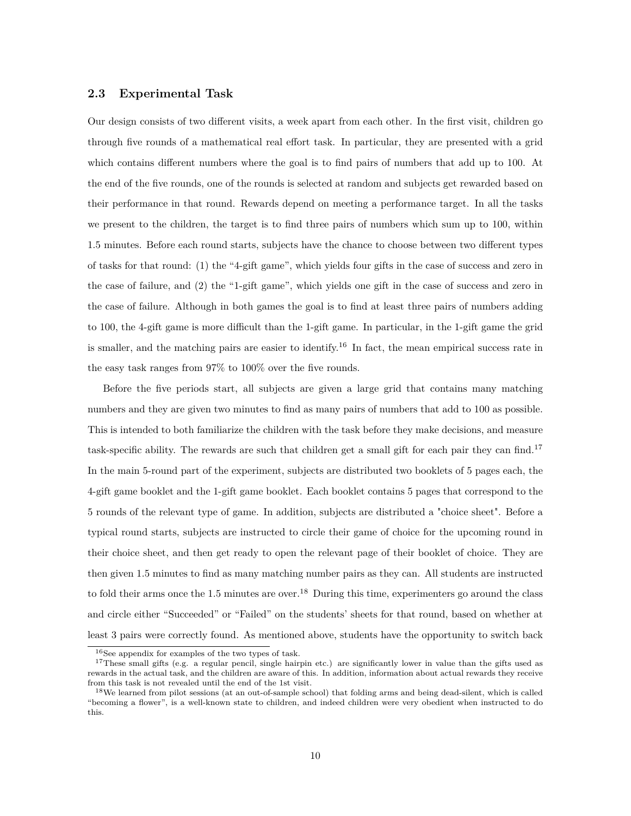#### **2.3 Experimental Task**

Our design consists of two different visits, a week apart from each other. In the first visit, children go through five rounds of a mathematical real effort task. In particular, they are presented with a grid which contains different numbers where the goal is to find pairs of numbers that add up to 100. At the end of the five rounds, one of the rounds is selected at random and subjects get rewarded based on their performance in that round. Rewards depend on meeting a performance target. In all the tasks we present to the children, the target is to find three pairs of numbers which sum up to 100, within 1.5 minutes. Before each round starts, subjects have the chance to choose between two different types of tasks for that round: (1) the "4-gift game", which yields four gifts in the case of success and zero in the case of failure, and (2) the "1-gift game", which yields one gift in the case of success and zero in the case of failure. Although in both games the goal is to find at least three pairs of numbers adding to 100, the 4-gift game is more difficult than the 1-gift game. In particular, in the 1-gift game the grid is smaller, and the matching pairs are easier to identify.<sup>16</sup> In fact, the mean empirical success rate in the easy task ranges from 97% to 100% over the five rounds.

Before the five periods start, all subjects are given a large grid that contains many matching numbers and they are given two minutes to find as many pairs of numbers that add to 100 as possible. This is intended to both familiarize the children with the task before they make decisions, and measure task-specific ability. The rewards are such that children get a small gift for each pair they can find.<sup>17</sup> In the main 5-round part of the experiment, subjects are distributed two booklets of 5 pages each, the 4-gift game booklet and the 1-gift game booklet. Each booklet contains 5 pages that correspond to the 5 rounds of the relevant type of game. In addition, subjects are distributed a "choice sheet". Before a typical round starts, subjects are instructed to circle their game of choice for the upcoming round in their choice sheet, and then get ready to open the relevant page of their booklet of choice. They are then given 1.5 minutes to find as many matching number pairs as they can. All students are instructed to fold their arms once the  $1.5$  minutes are over.<sup>18</sup> During this time, experimenters go around the class and circle either "Succeeded" or "Failed" on the students' sheets for that round, based on whether at least 3 pairs were correctly found. As mentioned above, students have the opportunity to switch back

<sup>16</sup>See appendix for examples of the two types of task.

<sup>&</sup>lt;sup>17</sup>These small gifts (e.g. a regular pencil, single hairpin etc.) are significantly lower in value than the gifts used as rewards in the actual task, and the children are aware of this. In addition, information about actual rewards they receive from this task is not revealed until the end of the 1st visit.

<sup>&</sup>lt;sup>18</sup>We learned from pilot sessions (at an out-of-sample school) that folding arms and being dead-silent, which is called "becoming a flower", is a well-known state to children, and indeed children were very obedient when instructed to do this.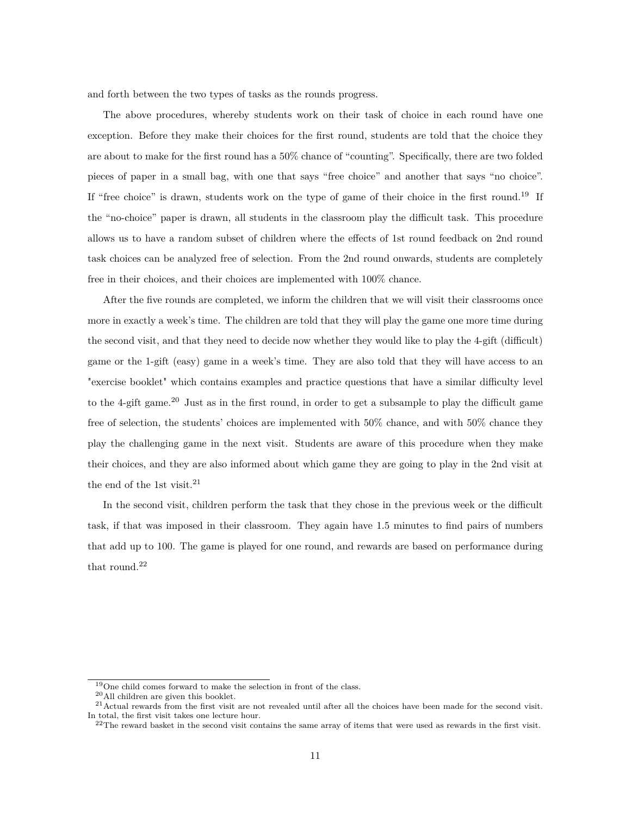and forth between the two types of tasks as the rounds progress.

The above procedures, whereby students work on their task of choice in each round have one exception. Before they make their choices for the first round, students are told that the choice they are about to make for the first round has a 50% chance of "counting". Specifically, there are two folded pieces of paper in a small bag, with one that says "free choice" and another that says "no choice". If "free choice" is drawn, students work on the type of game of their choice in the first round.<sup>19</sup> If the "no-choice" paper is drawn, all students in the classroom play the difficult task. This procedure allows us to have a random subset of children where the effects of 1st round feedback on 2nd round task choices can be analyzed free of selection. From the 2nd round onwards, students are completely free in their choices, and their choices are implemented with 100% chance.

After the five rounds are completed, we inform the children that we will visit their classrooms once more in exactly a week's time. The children are told that they will play the game one more time during the second visit, and that they need to decide now whether they would like to play the 4-gift (difficult) game or the 1-gift (easy) game in a week's time. They are also told that they will have access to an "exercise booklet" which contains examples and practice questions that have a similar difficulty level to the 4-gift game.<sup>20</sup> Just as in the first round, in order to get a subsample to play the difficult game free of selection, the students' choices are implemented with 50% chance, and with 50% chance they play the challenging game in the next visit. Students are aware of this procedure when they make their choices, and they are also informed about which game they are going to play in the 2nd visit at the end of the 1st visit. $21$ 

In the second visit, children perform the task that they chose in the previous week or the difficult task, if that was imposed in their classroom. They again have 1.5 minutes to find pairs of numbers that add up to 100. The game is played for one round, and rewards are based on performance during that round.<sup>22</sup>

<sup>19</sup>One child comes forward to make the selection in front of the class.

 $\rm ^{20}All$  children are given this booklet.

 $21$  Actual rewards from the first visit are not revealed until after all the choices have been made for the second visit. In total, the first visit takes one lecture hour.

 $22$ The reward basket in the second visit contains the same array of items that were used as rewards in the first visit.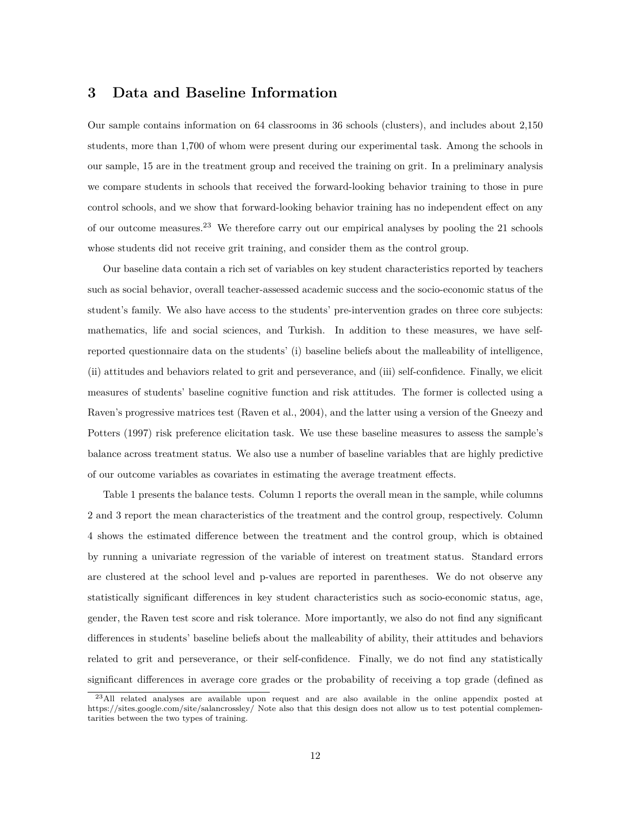### **3 Data and Baseline Information**

Our sample contains information on 64 classrooms in 36 schools (clusters), and includes about 2,150 students, more than 1,700 of whom were present during our experimental task. Among the schools in our sample, 15 are in the treatment group and received the training on grit. In a preliminary analysis we compare students in schools that received the forward-looking behavior training to those in pure control schools, and we show that forward-looking behavior training has no independent effect on any of our outcome measures.<sup>23</sup> We therefore carry out our empirical analyses by pooling the 21 schools whose students did not receive grit training, and consider them as the control group.

Our baseline data contain a rich set of variables on key student characteristics reported by teachers such as social behavior, overall teacher-assessed academic success and the socio-economic status of the student's family. We also have access to the students' pre-intervention grades on three core subjects: mathematics, life and social sciences, and Turkish. In addition to these measures, we have selfreported questionnaire data on the students' (i) baseline beliefs about the malleability of intelligence, (ii) attitudes and behaviors related to grit and perseverance, and (iii) self-confidence. Finally, we elicit measures of students' baseline cognitive function and risk attitudes. The former is collected using a Raven's progressive matrices test (Raven et al., 2004), and the latter using a version of the Gneezy and Potters (1997) risk preference elicitation task. We use these baseline measures to assess the sample's balance across treatment status. We also use a number of baseline variables that are highly predictive of our outcome variables as covariates in estimating the average treatment effects.

Table 1 presents the balance tests. Column 1 reports the overall mean in the sample, while columns 2 and 3 report the mean characteristics of the treatment and the control group, respectively. Column 4 shows the estimated difference between the treatment and the control group, which is obtained by running a univariate regression of the variable of interest on treatment status. Standard errors are clustered at the school level and p-values are reported in parentheses. We do not observe any statistically significant differences in key student characteristics such as socio-economic status, age, gender, the Raven test score and risk tolerance. More importantly, we also do not find any significant differences in students' baseline beliefs about the malleability of ability, their attitudes and behaviors related to grit and perseverance, or their self-confidence. Finally, we do not find any statistically significant differences in average core grades or the probability of receiving a top grade (defined as

<sup>23</sup>All related analyses are available upon request and are also available in the online appendix posted at https://sites.google.com/site/salancrossley/ Note also that this design does not allow us to test potential complementarities between the two types of training.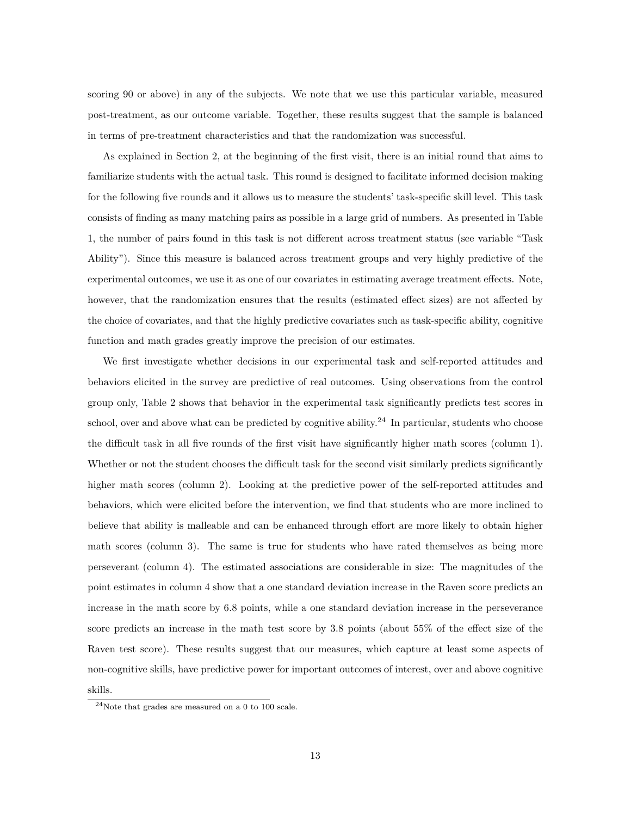scoring 90 or above) in any of the subjects. We note that we use this particular variable, measured post-treatment, as our outcome variable. Together, these results suggest that the sample is balanced in terms of pre-treatment characteristics and that the randomization was successful.

As explained in Section 2, at the beginning of the first visit, there is an initial round that aims to familiarize students with the actual task. This round is designed to facilitate informed decision making for the following five rounds and it allows us to measure the students' task-specific skill level. This task consists of finding as many matching pairs as possible in a large grid of numbers. As presented in Table 1, the number of pairs found in this task is not different across treatment status (see variable "Task Ability"). Since this measure is balanced across treatment groups and very highly predictive of the experimental outcomes, we use it as one of our covariates in estimating average treatment effects. Note, however, that the randomization ensures that the results (estimated effect sizes) are not affected by the choice of covariates, and that the highly predictive covariates such as task-specific ability, cognitive function and math grades greatly improve the precision of our estimates.

We first investigate whether decisions in our experimental task and self-reported attitudes and behaviors elicited in the survey are predictive of real outcomes. Using observations from the control group only, Table 2 shows that behavior in the experimental task significantly predicts test scores in school, over and above what can be predicted by cognitive ability.<sup>24</sup> In particular, students who choose the difficult task in all five rounds of the first visit have significantly higher math scores (column 1). Whether or not the student chooses the difficult task for the second visit similarly predicts significantly higher math scores (column 2). Looking at the predictive power of the self-reported attitudes and behaviors, which were elicited before the intervention, we find that students who are more inclined to believe that ability is malleable and can be enhanced through effort are more likely to obtain higher math scores (column 3). The same is true for students who have rated themselves as being more perseverant (column 4). The estimated associations are considerable in size: The magnitudes of the point estimates in column 4 show that a one standard deviation increase in the Raven score predicts an increase in the math score by 6.8 points, while a one standard deviation increase in the perseverance score predicts an increase in the math test score by 3.8 points (about 55% of the effect size of the Raven test score). These results suggest that our measures, which capture at least some aspects of non-cognitive skills, have predictive power for important outcomes of interest, over and above cognitive skills.

<sup>24</sup>Note that grades are measured on a 0 to 100 scale.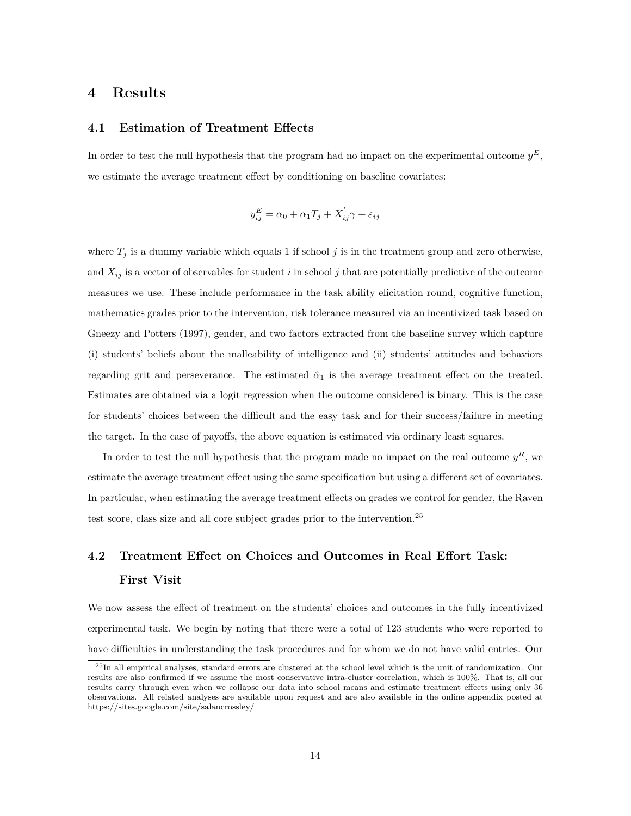### **4 Results**

#### **4.1 Estimation of Treatment Effects**

In order to test the null hypothesis that the program had no impact on the experimental outcome  $y<sup>E</sup>$ , we estimate the average treatment effect by conditioning on baseline covariates:

$$
y_{ij}^{E} = \alpha_0 + \alpha_1 T_j + X_{ij}^{'} \gamma + \varepsilon_{ij}
$$

where  $T_j$  is a dummy variable which equals 1 if school  $j$  is in the treatment group and zero otherwise, and  $X_{ij}$  is a vector of observables for student *i* in school *j* that are potentially predictive of the outcome measures we use. These include performance in the task ability elicitation round, cognitive function, mathematics grades prior to the intervention, risk tolerance measured via an incentivized task based on Gneezy and Potters (1997), gender, and two factors extracted from the baseline survey which capture (i) students' beliefs about the malleability of intelligence and (ii) students' attitudes and behaviors regarding grit and perseverance. The estimated  $\hat{\alpha}_1$  is the average treatment effect on the treated. Estimates are obtained via a logit regression when the outcome considered is binary. This is the case for students' choices between the difficult and the easy task and for their success/failure in meeting the target. In the case of payoffs, the above equation is estimated via ordinary least squares.

In order to test the null hypothesis that the program made no impact on the real outcome  $y<sup>R</sup>$ , we estimate the average treatment effect using the same specification but using a different set of covariates. In particular, when estimating the average treatment effects on grades we control for gender, the Raven test score, class size and all core subject grades prior to the intervention.<sup>25</sup>

## **4.2 Treatment Effect on Choices and Outcomes in Real Effort Task: First Visit**

We now assess the effect of treatment on the students' choices and outcomes in the fully incentivized experimental task. We begin by noting that there were a total of 123 students who were reported to have difficulties in understanding the task procedures and for whom we do not have valid entries. Our

<sup>25</sup>In all empirical analyses, standard errors are clustered at the school level which is the unit of randomization. Our results are also confirmed if we assume the most conservative intra-cluster correlation, which is 100%. That is, all our results carry through even when we collapse our data into school means and estimate treatment effects using only 36 observations. All related analyses are available upon request and are also available in the online appendix posted at https://sites.google.com/site/salancrossley/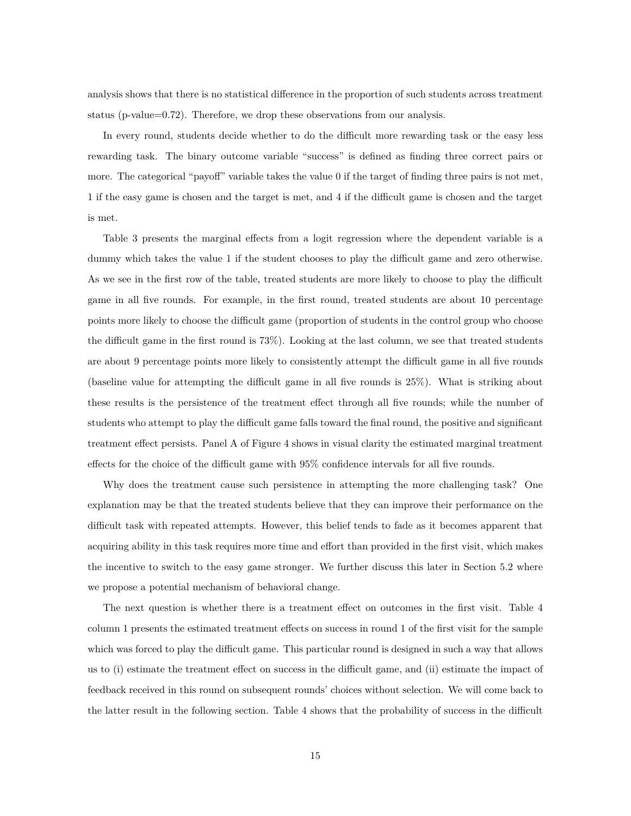analysis shows that there is no statistical difference in the proportion of such students across treatment status (p-value=0.72). Therefore, we drop these observations from our analysis.

In every round, students decide whether to do the difficult more rewarding task or the easy less rewarding task. The binary outcome variable "success" is defined as finding three correct pairs or more. The categorical "payoff" variable takes the value 0 if the target of finding three pairs is not met, 1 if the easy game is chosen and the target is met, and 4 if the difficult game is chosen and the target is met.

Table 3 presents the marginal effects from a logit regression where the dependent variable is a dummy which takes the value 1 if the student chooses to play the difficult game and zero otherwise. As we see in the first row of the table, treated students are more likely to choose to play the difficult game in all five rounds. For example, in the first round, treated students are about 10 percentage points more likely to choose the difficult game (proportion of students in the control group who choose the difficult game in the first round is 73%). Looking at the last column, we see that treated students are about 9 percentage points more likely to consistently attempt the difficult game in all five rounds (baseline value for attempting the difficult game in all five rounds is 25%). What is striking about these results is the persistence of the treatment effect through all five rounds; while the number of students who attempt to play the difficult game falls toward the final round, the positive and significant treatment effect persists. Panel A of Figure 4 shows in visual clarity the estimated marginal treatment effects for the choice of the difficult game with 95% confidence intervals for all five rounds.

Why does the treatment cause such persistence in attempting the more challenging task? One explanation may be that the treated students believe that they can improve their performance on the difficult task with repeated attempts. However, this belief tends to fade as it becomes apparent that acquiring ability in this task requires more time and effort than provided in the first visit, which makes the incentive to switch to the easy game stronger. We further discuss this later in Section 5.2 where we propose a potential mechanism of behavioral change.

The next question is whether there is a treatment effect on outcomes in the first visit. Table 4 column 1 presents the estimated treatment effects on success in round 1 of the first visit for the sample which was forced to play the difficult game. This particular round is designed in such a way that allows us to (i) estimate the treatment effect on success in the difficult game, and (ii) estimate the impact of feedback received in this round on subsequent rounds' choices without selection. We will come back to the latter result in the following section. Table 4 shows that the probability of success in the difficult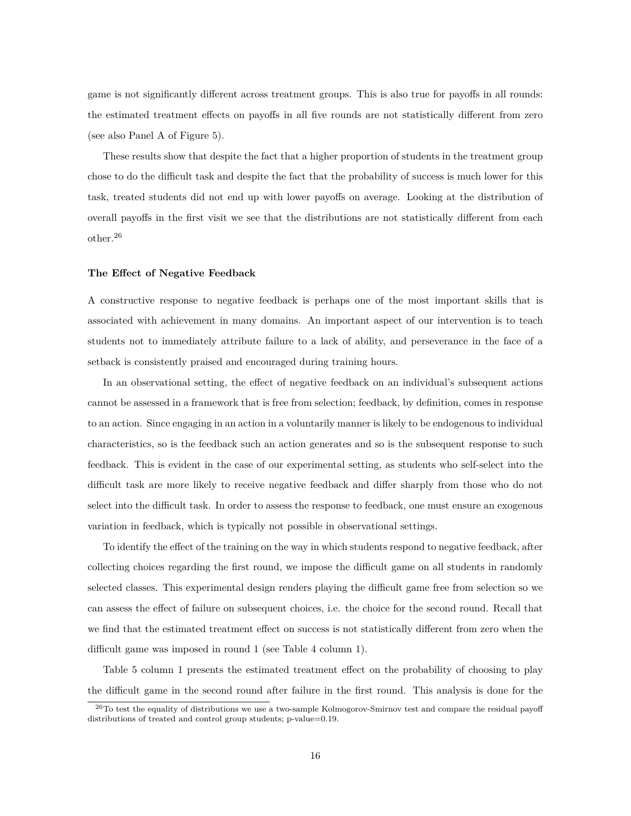game is not significantly different across treatment groups. This is also true for payoffs in all rounds: the estimated treatment effects on payoffs in all five rounds are not statistically different from zero (see also Panel A of Figure 5).

These results show that despite the fact that a higher proportion of students in the treatment group chose to do the difficult task and despite the fact that the probability of success is much lower for this task, treated students did not end up with lower payoffs on average. Looking at the distribution of overall payoffs in the first visit we see that the distributions are not statistically different from each other.<sup>26</sup>

#### **The Effect of Negative Feedback**

A constructive response to negative feedback is perhaps one of the most important skills that is associated with achievement in many domains. An important aspect of our intervention is to teach students not to immediately attribute failure to a lack of ability, and perseverance in the face of a setback is consistently praised and encouraged during training hours.

In an observational setting, the effect of negative feedback on an individual's subsequent actions cannot be assessed in a framework that is free from selection; feedback, by definition, comes in response to an action. Since engaging in an action in a voluntarily manner is likely to be endogenous to individual characteristics, so is the feedback such an action generates and so is the subsequent response to such feedback. This is evident in the case of our experimental setting, as students who self-select into the difficult task are more likely to receive negative feedback and differ sharply from those who do not select into the difficult task. In order to assess the response to feedback, one must ensure an exogenous variation in feedback, which is typically not possible in observational settings.

To identify the effect of the training on the way in which students respond to negative feedback, after collecting choices regarding the first round, we impose the difficult game on all students in randomly selected classes. This experimental design renders playing the difficult game free from selection so we can assess the effect of failure on subsequent choices, i.e. the choice for the second round. Recall that we find that the estimated treatment effect on success is not statistically different from zero when the difficult game was imposed in round 1 (see Table 4 column 1).

Table 5 column 1 presents the estimated treatment effect on the probability of choosing to play the difficult game in the second round after failure in the first round. This analysis is done for the

<sup>26</sup>To test the equality of distributions we use a two-sample Kolmogorov-Smirnov test and compare the residual payoff distributions of treated and control group students; p-value=0.19.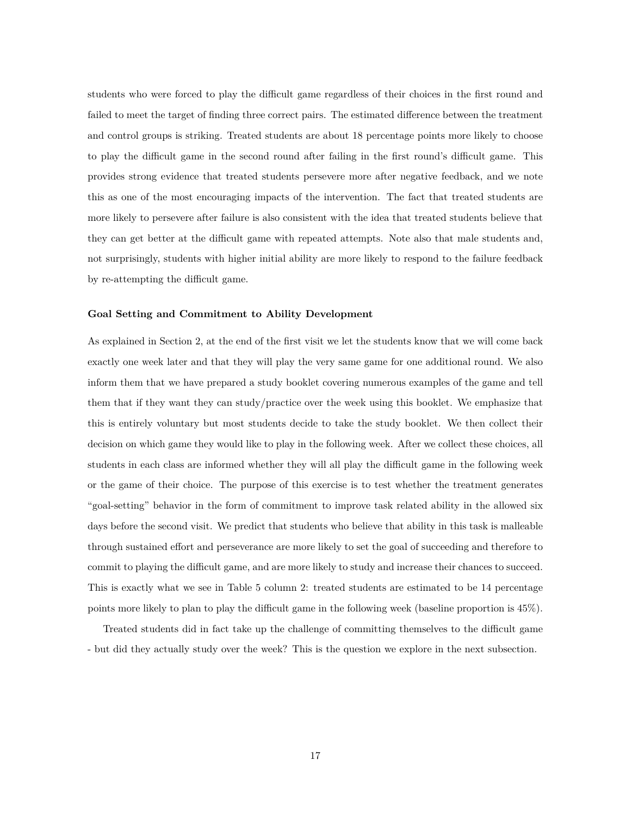students who were forced to play the difficult game regardless of their choices in the first round and failed to meet the target of finding three correct pairs. The estimated difference between the treatment and control groups is striking. Treated students are about 18 percentage points more likely to choose to play the difficult game in the second round after failing in the first round's difficult game. This provides strong evidence that treated students persevere more after negative feedback, and we note this as one of the most encouraging impacts of the intervention. The fact that treated students are more likely to persevere after failure is also consistent with the idea that treated students believe that they can get better at the difficult game with repeated attempts. Note also that male students and, not surprisingly, students with higher initial ability are more likely to respond to the failure feedback by re-attempting the difficult game.

#### **Goal Setting and Commitment to Ability Development**

As explained in Section 2, at the end of the first visit we let the students know that we will come back exactly one week later and that they will play the very same game for one additional round. We also inform them that we have prepared a study booklet covering numerous examples of the game and tell them that if they want they can study/practice over the week using this booklet. We emphasize that this is entirely voluntary but most students decide to take the study booklet. We then collect their decision on which game they would like to play in the following week. After we collect these choices, all students in each class are informed whether they will all play the difficult game in the following week or the game of their choice. The purpose of this exercise is to test whether the treatment generates "goal-setting" behavior in the form of commitment to improve task related ability in the allowed six days before the second visit. We predict that students who believe that ability in this task is malleable through sustained effort and perseverance are more likely to set the goal of succeeding and therefore to commit to playing the difficult game, and are more likely to study and increase their chances to succeed. This is exactly what we see in Table 5 column 2: treated students are estimated to be 14 percentage points more likely to plan to play the difficult game in the following week (baseline proportion is 45%).

Treated students did in fact take up the challenge of committing themselves to the difficult game - but did they actually study over the week? This is the question we explore in the next subsection.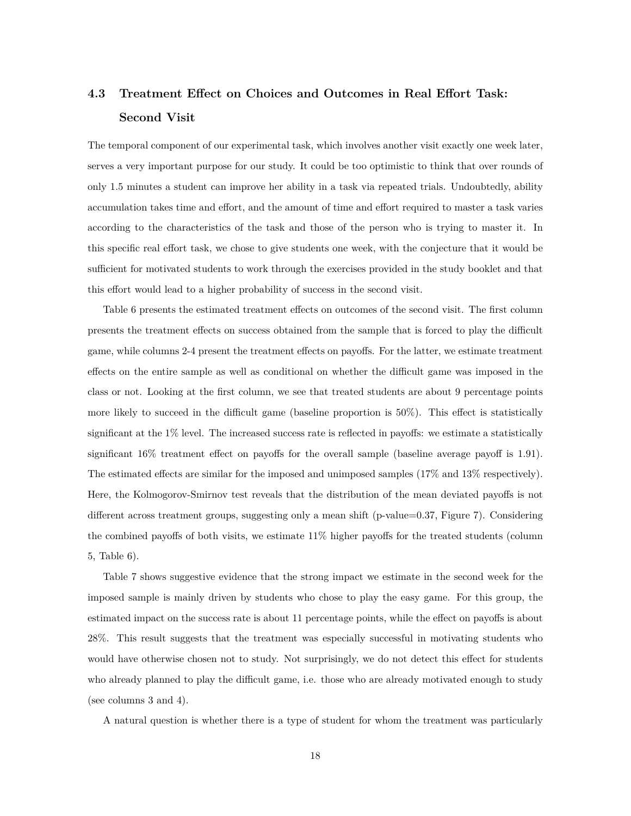## **4.3 Treatment Effect on Choices and Outcomes in Real Effort Task: Second Visit**

The temporal component of our experimental task, which involves another visit exactly one week later, serves a very important purpose for our study. It could be too optimistic to think that over rounds of only 1.5 minutes a student can improve her ability in a task via repeated trials. Undoubtedly, ability accumulation takes time and effort, and the amount of time and effort required to master a task varies according to the characteristics of the task and those of the person who is trying to master it. In this specific real effort task, we chose to give students one week, with the conjecture that it would be sufficient for motivated students to work through the exercises provided in the study booklet and that this effort would lead to a higher probability of success in the second visit.

Table 6 presents the estimated treatment effects on outcomes of the second visit. The first column presents the treatment effects on success obtained from the sample that is forced to play the difficult game, while columns 2-4 present the treatment effects on payoffs. For the latter, we estimate treatment effects on the entire sample as well as conditional on whether the difficult game was imposed in the class or not. Looking at the first column, we see that treated students are about 9 percentage points more likely to succeed in the difficult game (baseline proportion is 50%). This effect is statistically significant at the 1% level. The increased success rate is reflected in payoffs: we estimate a statistically significant 16% treatment effect on payoffs for the overall sample (baseline average payoff is 1.91). The estimated effects are similar for the imposed and unimposed samples (17% and 13% respectively). Here, the Kolmogorov-Smirnov test reveals that the distribution of the mean deviated payoffs is not different across treatment groups, suggesting only a mean shift (p-value=0.37, Figure 7). Considering the combined payoffs of both visits, we estimate 11% higher payoffs for the treated students (column 5, Table 6).

Table 7 shows suggestive evidence that the strong impact we estimate in the second week for the imposed sample is mainly driven by students who chose to play the easy game. For this group, the estimated impact on the success rate is about 11 percentage points, while the effect on payoffs is about 28%. This result suggests that the treatment was especially successful in motivating students who would have otherwise chosen not to study. Not surprisingly, we do not detect this effect for students who already planned to play the difficult game, i.e. those who are already motivated enough to study (see columns 3 and 4).

A natural question is whether there is a type of student for whom the treatment was particularly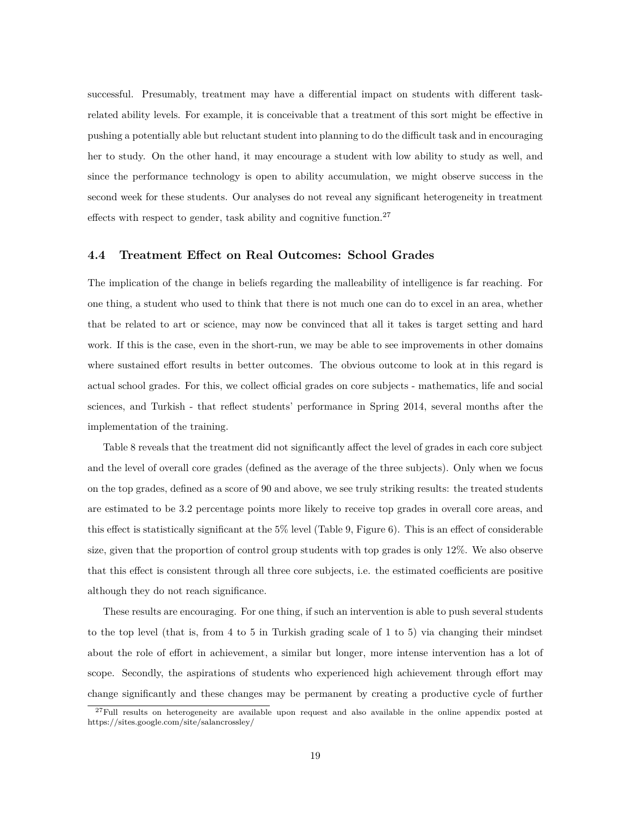successful. Presumably, treatment may have a differential impact on students with different taskrelated ability levels. For example, it is conceivable that a treatment of this sort might be effective in pushing a potentially able but reluctant student into planning to do the difficult task and in encouraging her to study. On the other hand, it may encourage a student with low ability to study as well, and since the performance technology is open to ability accumulation, we might observe success in the second week for these students. Our analyses do not reveal any significant heterogeneity in treatment effects with respect to gender, task ability and cognitive function. $27$ 

#### **4.4 Treatment Effect on Real Outcomes: School Grades**

The implication of the change in beliefs regarding the malleability of intelligence is far reaching. For one thing, a student who used to think that there is not much one can do to excel in an area, whether that be related to art or science, may now be convinced that all it takes is target setting and hard work. If this is the case, even in the short-run, we may be able to see improvements in other domains where sustained effort results in better outcomes. The obvious outcome to look at in this regard is actual school grades. For this, we collect official grades on core subjects - mathematics, life and social sciences, and Turkish - that reflect students' performance in Spring 2014, several months after the implementation of the training.

Table 8 reveals that the treatment did not significantly affect the level of grades in each core subject and the level of overall core grades (defined as the average of the three subjects). Only when we focus on the top grades, defined as a score of 90 and above, we see truly striking results: the treated students are estimated to be 3.2 percentage points more likely to receive top grades in overall core areas, and this effect is statistically significant at the 5% level (Table 9, Figure 6). This is an effect of considerable size, given that the proportion of control group students with top grades is only 12%. We also observe that this effect is consistent through all three core subjects, i.e. the estimated coefficients are positive although they do not reach significance.

These results are encouraging. For one thing, if such an intervention is able to push several students to the top level (that is, from 4 to 5 in Turkish grading scale of 1 to 5) via changing their mindset about the role of effort in achievement, a similar but longer, more intense intervention has a lot of scope. Secondly, the aspirations of students who experienced high achievement through effort may change significantly and these changes may be permanent by creating a productive cycle of further

<sup>27</sup>Full results on heterogeneity are available upon request and also available in the online appendix posted at https://sites.google.com/site/salancrossley/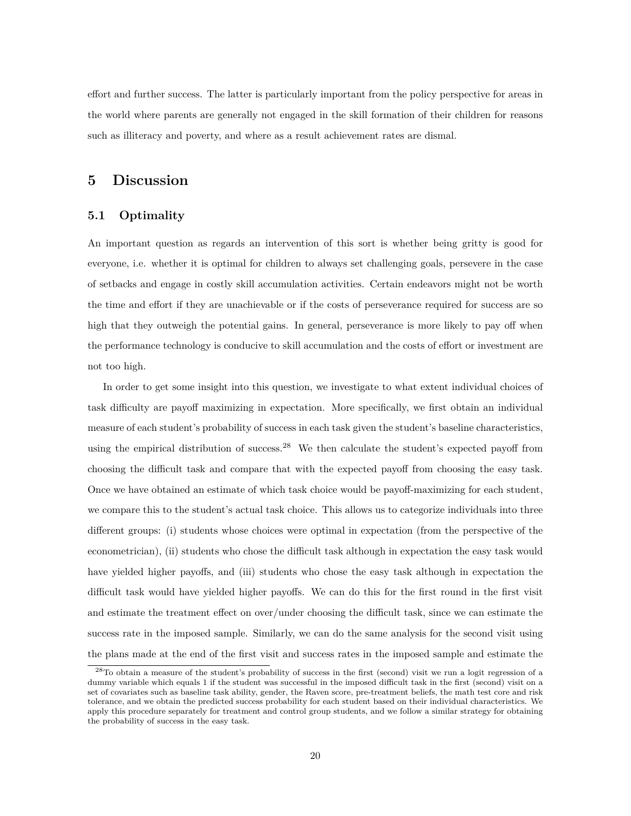effort and further success. The latter is particularly important from the policy perspective for areas in the world where parents are generally not engaged in the skill formation of their children for reasons such as illiteracy and poverty, and where as a result achievement rates are dismal.

## **5 Discussion**

### **5.1 Optimality**

An important question as regards an intervention of this sort is whether being gritty is good for everyone, i.e. whether it is optimal for children to always set challenging goals, persevere in the case of setbacks and engage in costly skill accumulation activities. Certain endeavors might not be worth the time and effort if they are unachievable or if the costs of perseverance required for success are so high that they outweigh the potential gains. In general, perseverance is more likely to pay off when the performance technology is conducive to skill accumulation and the costs of effort or investment are not too high.

In order to get some insight into this question, we investigate to what extent individual choices of task difficulty are payoff maximizing in expectation. More specifically, we first obtain an individual measure of each student's probability of success in each task given the student's baseline characteristics, using the empirical distribution of success.<sup>28</sup> We then calculate the student's expected payoff from choosing the difficult task and compare that with the expected payoff from choosing the easy task. Once we have obtained an estimate of which task choice would be payoff-maximizing for each student, we compare this to the student's actual task choice. This allows us to categorize individuals into three different groups: (i) students whose choices were optimal in expectation (from the perspective of the econometrician), (ii) students who chose the difficult task although in expectation the easy task would have yielded higher payoffs, and (iii) students who chose the easy task although in expectation the difficult task would have yielded higher payoffs. We can do this for the first round in the first visit and estimate the treatment effect on over/under choosing the difficult task, since we can estimate the success rate in the imposed sample. Similarly, we can do the same analysis for the second visit using the plans made at the end of the first visit and success rates in the imposed sample and estimate the

 $^{28}$ To obtain a measure of the student's probability of success in the first (second) visit we run a logit regression of a dummy variable which equals 1 if the student was successful in the imposed difficult task in the first (second) visit on a set of covariates such as baseline task ability, gender, the Raven score, pre-treatment beliefs, the math test core and risk tolerance, and we obtain the predicted success probability for each student based on their individual characteristics. We apply this procedure separately for treatment and control group students, and we follow a similar strategy for obtaining the probability of success in the easy task.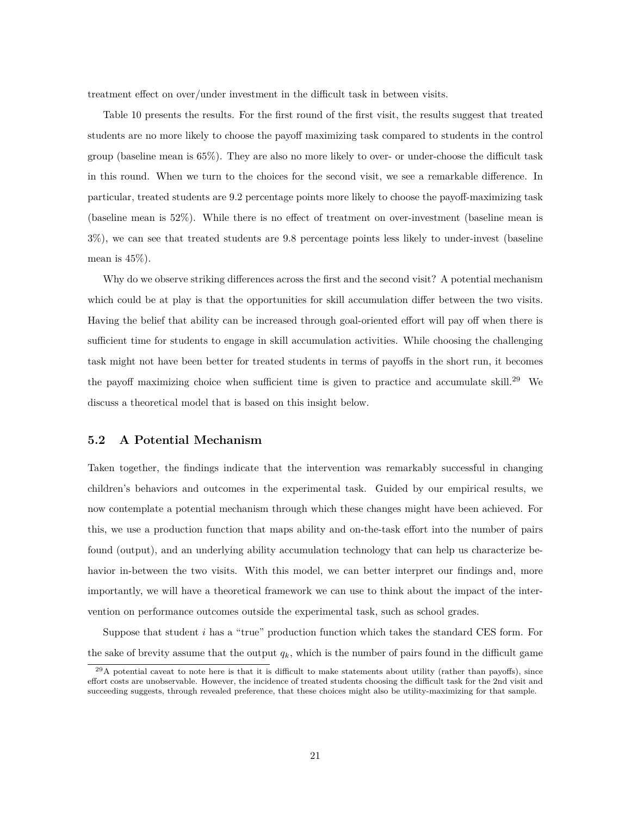treatment effect on over/under investment in the difficult task in between visits.

Table 10 presents the results. For the first round of the first visit, the results suggest that treated students are no more likely to choose the payoff maximizing task compared to students in the control group (baseline mean is 65%). They are also no more likely to over- or under-choose the difficult task in this round. When we turn to the choices for the second visit, we see a remarkable difference. In particular, treated students are 9.2 percentage points more likely to choose the payoff-maximizing task (baseline mean is 52%). While there is no effect of treatment on over-investment (baseline mean is 3%), we can see that treated students are 9.8 percentage points less likely to under-invest (baseline mean is  $45\%$ ).

Why do we observe striking differences across the first and the second visit? A potential mechanism which could be at play is that the opportunities for skill accumulation differ between the two visits. Having the belief that ability can be increased through goal-oriented effort will pay off when there is sufficient time for students to engage in skill accumulation activities. While choosing the challenging task might not have been better for treated students in terms of payoffs in the short run, it becomes the payoff maximizing choice when sufficient time is given to practice and accumulate skill.<sup>29</sup> We discuss a theoretical model that is based on this insight below.

#### **5.2 A Potential Mechanism**

Taken together, the findings indicate that the intervention was remarkably successful in changing children's behaviors and outcomes in the experimental task. Guided by our empirical results, we now contemplate a potential mechanism through which these changes might have been achieved. For this, we use a production function that maps ability and on-the-task effort into the number of pairs found (output), and an underlying ability accumulation technology that can help us characterize behavior in-between the two visits. With this model, we can better interpret our findings and, more importantly, we will have a theoretical framework we can use to think about the impact of the intervention on performance outcomes outside the experimental task, such as school grades.

Suppose that student *i* has a "true" production function which takes the standard CES form. For the sake of brevity assume that the output  $q_k$ , which is the number of pairs found in the difficult game

 $^{29}$ A potential caveat to note here is that it is difficult to make statements about utility (rather than payoffs), since effort costs are unobservable. However, the incidence of treated students choosing the difficult task for the 2nd visit and succeeding suggests, through revealed preference, that these choices might also be utility-maximizing for that sample.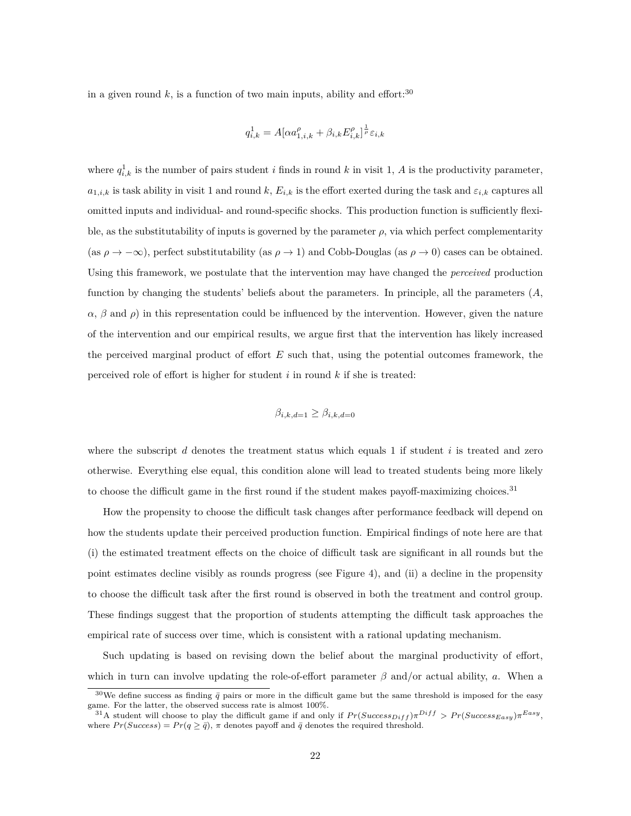in a given round  $k$ , is a function of two main inputs, ability and effort:<sup>30</sup>

$$
q_{i,k}^1 = A[\alpha a_{1,i,k}^\rho + \beta_{i,k} E_{i,k}^\rho]^\frac{1}{\rho} \varepsilon_{i,k}
$$

where  $q_{i,k}^1$  is the number of pairs student *i* finds in round *k* in visit 1, *A* is the productivity parameter,  $a_{1,i,k}$  is task ability in visit 1 and round  $k$ ,  $E_{i,k}$  is the effort exerted during the task and  $\varepsilon_{i,k}$  captures all omitted inputs and individual- and round-specific shocks. This production function is sufficiently flexible, as the substitutability of inputs is governed by the parameter  $\rho$ , via which perfect complementarity (as  $\rho \to -\infty$ ), perfect substitutability (as  $\rho \to 1$ ) and Cobb-Douglas (as  $\rho \to 0$ ) cases can be obtained. Using this framework, we postulate that the intervention may have changed the *perceived* production function by changing the students' beliefs about the parameters. In principle, all the parameters (*A*, *α*, *β* and *ρ*) in this representation could be influenced by the intervention. However, given the nature of the intervention and our empirical results, we argue first that the intervention has likely increased the perceived marginal product of effort *E* such that, using the potential outcomes framework, the perceived role of effort is higher for student *i* in round *k* if she is treated:

$$
\beta_{i,k,d=1} \ge \beta_{i,k,d=0}
$$

where the subscript  $d$  denotes the treatment status which equals 1 if student  $i$  is treated and zero otherwise. Everything else equal, this condition alone will lead to treated students being more likely to choose the difficult game in the first round if the student makes payoff-maximizing choices.<sup>31</sup>

How the propensity to choose the difficult task changes after performance feedback will depend on how the students update their perceived production function. Empirical findings of note here are that (i) the estimated treatment effects on the choice of difficult task are significant in all rounds but the point estimates decline visibly as rounds progress (see Figure 4), and (ii) a decline in the propensity to choose the difficult task after the first round is observed in both the treatment and control group. These findings suggest that the proportion of students attempting the difficult task approaches the empirical rate of success over time, which is consistent with a rational updating mechanism.

Such updating is based on revising down the belief about the marginal productivity of effort, which in turn can involve updating the role-of-effort parameter *β* and/or actual ability, *a*. When a

<sup>&</sup>lt;sup>30</sup>We define success as finding  $\bar{q}$  pairs or more in the difficult game but the same threshold is imposed for the easy game. For the latter, the observed success rate is almost 100%.

 $^{31}$ A student will choose to play the difficult game if and only if  $Pr(Success_{Diff})\pi^{Diff} > Pr(Success_{Easy})\pi^{Easy}$ , where  $Pr(Success) = Pr(q \geq \overline{q})$ ,  $\pi$  denotes payoff and  $\overline{q}$  denotes the required threshold.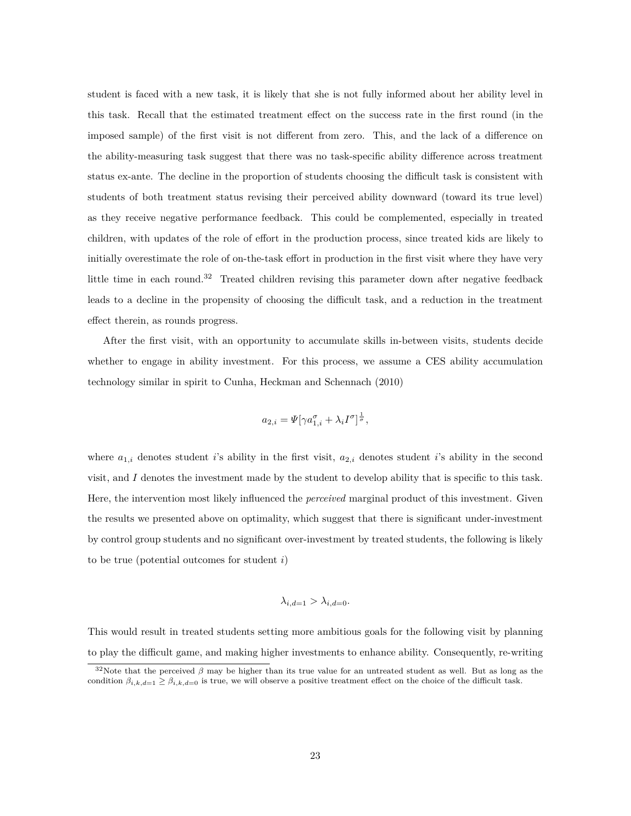student is faced with a new task, it is likely that she is not fully informed about her ability level in this task. Recall that the estimated treatment effect on the success rate in the first round (in the imposed sample) of the first visit is not different from zero. This, and the lack of a difference on the ability-measuring task suggest that there was no task-specific ability difference across treatment status ex-ante. The decline in the proportion of students choosing the difficult task is consistent with students of both treatment status revising their perceived ability downward (toward its true level) as they receive negative performance feedback. This could be complemented, especially in treated children, with updates of the role of effort in the production process, since treated kids are likely to initially overestimate the role of on-the-task effort in production in the first visit where they have very little time in each round.<sup>32</sup> Treated children revising this parameter down after negative feedback leads to a decline in the propensity of choosing the difficult task, and a reduction in the treatment effect therein, as rounds progress.

After the first visit, with an opportunity to accumulate skills in-between visits, students decide whether to engage in ability investment. For this process, we assume a CES ability accumulation technology similar in spirit to Cunha, Heckman and Schennach (2010)

$$
a_{2,i} = \Psi[\gamma a_{1,i}^{\sigma} + \lambda_i I^{\sigma}]^{\frac{1}{\sigma}},
$$

where  $a_{1,i}$  denotes student *i*'s ability in the first visit,  $a_{2,i}$  denotes student *i*'s ability in the second visit, and *I* denotes the investment made by the student to develop ability that is specific to this task. Here, the intervention most likely influenced the *perceived* marginal product of this investment. Given the results we presented above on optimality, which suggest that there is significant under-investment by control group students and no significant over-investment by treated students, the following is likely to be true (potential outcomes for student *i*)

$$
\lambda_{i,d=1} > \lambda_{i,d=0}.
$$

This would result in treated students setting more ambitious goals for the following visit by planning to play the difficult game, and making higher investments to enhance ability. Consequently, re-writing

<sup>32</sup>Note that the perceived *β* may be higher than its true value for an untreated student as well. But as long as the condition  $\beta_{i,k,d=1} \geq \beta_{i,k,d=0}$  is true, we will observe a positive treatment effect on the choice of the difficult task.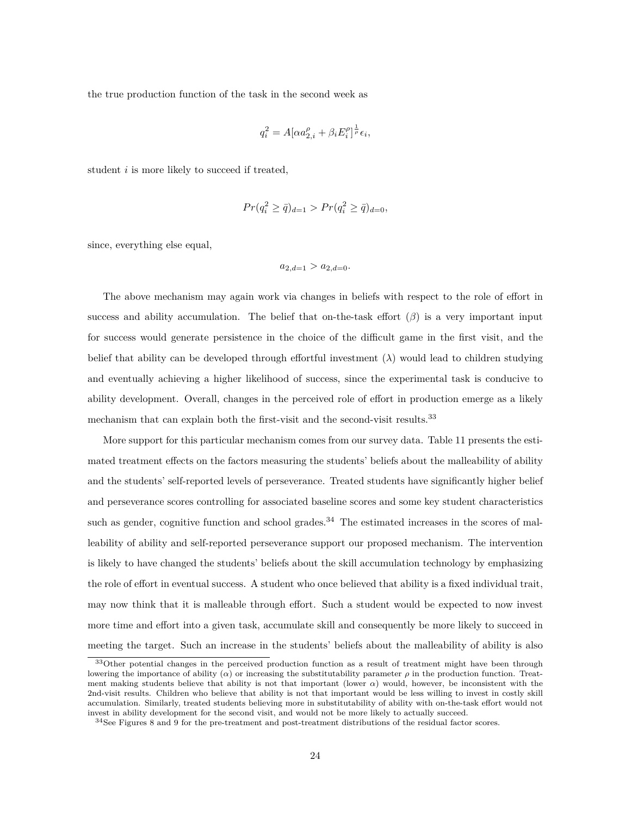the true production function of the task in the second week as

$$
q_i^2 = A[\alpha a_{2,i}^{\rho} + \beta_i E_i^{\rho}]^{\frac{1}{\rho}} \epsilon_i,
$$

student *i* is more likely to succeed if treated,

$$
Pr(q_i^2 \ge \bar{q})_{d=1} > Pr(q_i^2 \ge \bar{q})_{d=0},
$$

since, everything else equal,

$$
a_{2,d=1} > a_{2,d=0}.
$$

The above mechanism may again work via changes in beliefs with respect to the role of effort in success and ability accumulation. The belief that on-the-task effort  $(\beta)$  is a very important input for success would generate persistence in the choice of the difficult game in the first visit, and the belief that ability can be developed through effortful investment (*λ*) would lead to children studying and eventually achieving a higher likelihood of success, since the experimental task is conducive to ability development. Overall, changes in the perceived role of effort in production emerge as a likely mechanism that can explain both the first-visit and the second-visit results.<sup>33</sup>

More support for this particular mechanism comes from our survey data. Table 11 presents the estimated treatment effects on the factors measuring the students' beliefs about the malleability of ability and the students' self-reported levels of perseverance. Treated students have significantly higher belief and perseverance scores controlling for associated baseline scores and some key student characteristics such as gender, cognitive function and school grades.<sup>34</sup> The estimated increases in the scores of malleability of ability and self-reported perseverance support our proposed mechanism. The intervention is likely to have changed the students' beliefs about the skill accumulation technology by emphasizing the role of effort in eventual success. A student who once believed that ability is a fixed individual trait, may now think that it is malleable through effort. Such a student would be expected to now invest more time and effort into a given task, accumulate skill and consequently be more likely to succeed in meeting the target. Such an increase in the students' beliefs about the malleability of ability is also

<sup>&</sup>lt;sup>33</sup>Other potential changes in the perceived production function as a result of treatment might have been through lowering the importance of ability (*α*) or increasing the substitutability parameter *ρ* in the production function. Treatment making students believe that ability is not that important (lower  $\alpha$ ) would, however, be inconsistent with the 2nd-visit results. Children who believe that ability is not that important would be less willing to invest in costly skill accumulation. Similarly, treated students believing more in substitutability of ability with on-the-task effort would not invest in ability development for the second visit, and would not be more likely to actually succeed.

<sup>34</sup>See Figures 8 and 9 for the pre-treatment and post-treatment distributions of the residual factor scores.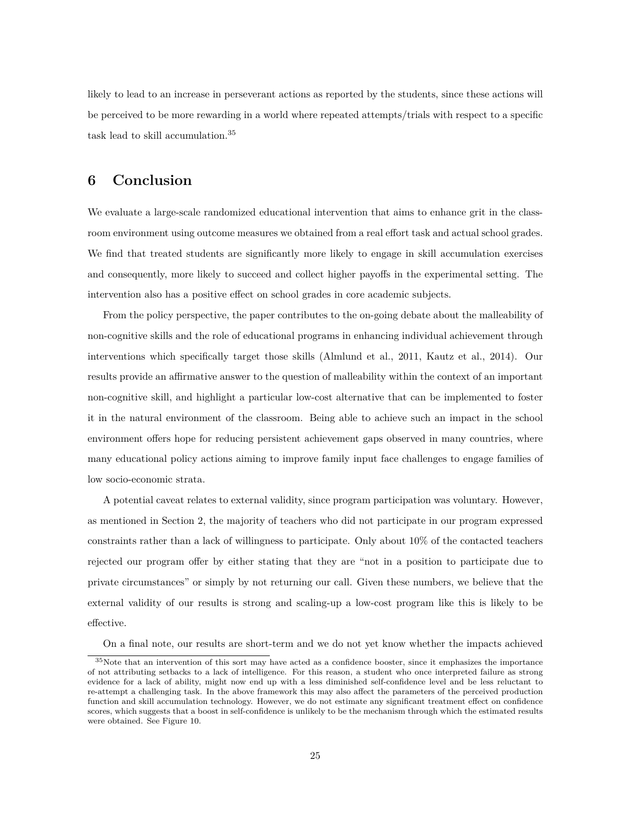likely to lead to an increase in perseverant actions as reported by the students, since these actions will be perceived to be more rewarding in a world where repeated attempts/trials with respect to a specific task lead to skill accumulation.<sup>35</sup>

## **6 Conclusion**

We evaluate a large-scale randomized educational intervention that aims to enhance grit in the classroom environment using outcome measures we obtained from a real effort task and actual school grades. We find that treated students are significantly more likely to engage in skill accumulation exercises and consequently, more likely to succeed and collect higher payoffs in the experimental setting. The intervention also has a positive effect on school grades in core academic subjects.

From the policy perspective, the paper contributes to the on-going debate about the malleability of non-cognitive skills and the role of educational programs in enhancing individual achievement through interventions which specifically target those skills (Almlund et al., 2011, Kautz et al., 2014). Our results provide an affirmative answer to the question of malleability within the context of an important non-cognitive skill, and highlight a particular low-cost alternative that can be implemented to foster it in the natural environment of the classroom. Being able to achieve such an impact in the school environment offers hope for reducing persistent achievement gaps observed in many countries, where many educational policy actions aiming to improve family input face challenges to engage families of low socio-economic strata.

A potential caveat relates to external validity, since program participation was voluntary. However, as mentioned in Section 2, the majority of teachers who did not participate in our program expressed constraints rather than a lack of willingness to participate. Only about 10% of the contacted teachers rejected our program offer by either stating that they are "not in a position to participate due to private circumstances" or simply by not returning our call. Given these numbers, we believe that the external validity of our results is strong and scaling-up a low-cost program like this is likely to be effective.

On a final note, our results are short-term and we do not yet know whether the impacts achieved

<sup>35</sup>Note that an intervention of this sort may have acted as a confidence booster, since it emphasizes the importance of not attributing setbacks to a lack of intelligence. For this reason, a student who once interpreted failure as strong evidence for a lack of ability, might now end up with a less diminished self-confidence level and be less reluctant to re-attempt a challenging task. In the above framework this may also affect the parameters of the perceived production function and skill accumulation technology. However, we do not estimate any significant treatment effect on confidence scores, which suggests that a boost in self-confidence is unlikely to be the mechanism through which the estimated results were obtained. See Figure 10.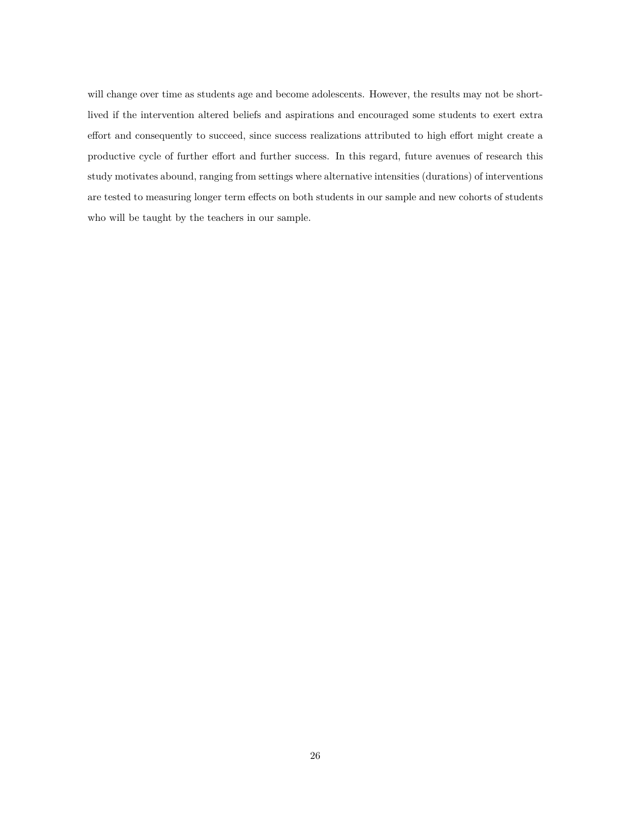will change over time as students age and become adolescents. However, the results may not be shortlived if the intervention altered beliefs and aspirations and encouraged some students to exert extra effort and consequently to succeed, since success realizations attributed to high effort might create a productive cycle of further effort and further success. In this regard, future avenues of research this study motivates abound, ranging from settings where alternative intensities (durations) of interventions are tested to measuring longer term effects on both students in our sample and new cohorts of students who will be taught by the teachers in our sample.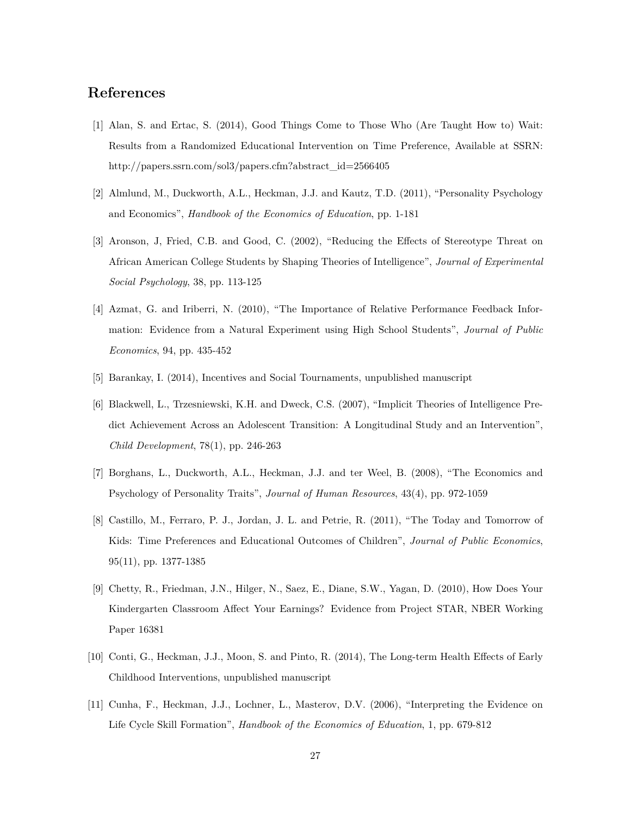## **References**

- [1] Alan, S. and Ertac, S. (2014), Good Things Come to Those Who (Are Taught How to) Wait: Results from a Randomized Educational Intervention on Time Preference, Available at SSRN: http://papers.ssrn.com/sol3/papers.cfm?abstract\_id=2566405
- [2] Almlund, M., Duckworth, A.L., Heckman, J.J. and Kautz, T.D. (2011), "Personality Psychology and Economics", *Handbook of the Economics of Education*, pp. 1-181
- [3] Aronson, J, Fried, C.B. and Good, C. (2002), "Reducing the Effects of Stereotype Threat on African American College Students by Shaping Theories of Intelligence", *Journal of Experimental Social Psychology*, 38, pp. 113-125
- [4] Azmat, G. and Iriberri, N. (2010), "The Importance of Relative Performance Feedback Information: Evidence from a Natural Experiment using High School Students", *Journal of Public Economics*, 94, pp. 435-452
- [5] Barankay, I. (2014), Incentives and Social Tournaments, unpublished manuscript
- [6] Blackwell, L., Trzesniewski, K.H. and Dweck, C.S. (2007), "Implicit Theories of Intelligence Predict Achievement Across an Adolescent Transition: A Longitudinal Study and an Intervention", *Child Development*, 78(1), pp. 246-263
- [7] Borghans, L., Duckworth, A.L., Heckman, J.J. and ter Weel, B. (2008), "The Economics and Psychology of Personality Traits", *Journal of Human Resources*, 43(4), pp. 972-1059
- [8] Castillo, M., Ferraro, P. J., Jordan, J. L. and Petrie, R. (2011), "The Today and Tomorrow of Kids: Time Preferences and Educational Outcomes of Children", *Journal of Public Economics*, 95(11), pp. 1377-1385
- [9] Chetty, R., Friedman, J.N., Hilger, N., Saez, E., Diane, S.W., Yagan, D. (2010), How Does Your Kindergarten Classroom Affect Your Earnings? Evidence from Project STAR, NBER Working Paper 16381
- [10] Conti, G., Heckman, J.J., Moon, S. and Pinto, R. (2014), The Long-term Health Effects of Early Childhood Interventions, unpublished manuscript
- [11] Cunha, F., Heckman, J.J., Lochner, L., Masterov, D.V. (2006), "Interpreting the Evidence on Life Cycle Skill Formation", *Handbook of the Economics of Education*, 1, pp. 679-812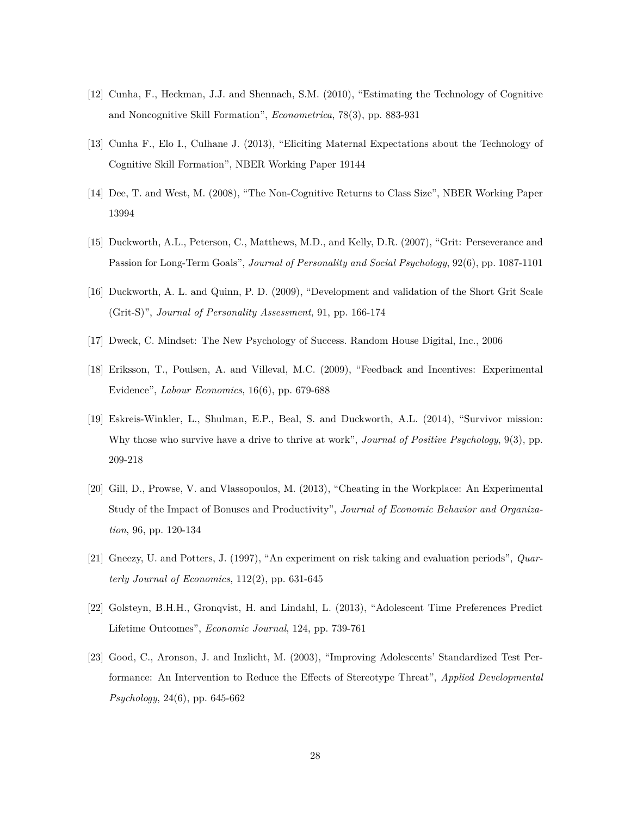- [12] Cunha, F., Heckman, J.J. and Shennach, S.M. (2010), "Estimating the Technology of Cognitive and Noncognitive Skill Formation", *Econometrica*, 78(3), pp. 883-931
- [13] Cunha F., Elo I., Culhane J. (2013), "Eliciting Maternal Expectations about the Technology of Cognitive Skill Formation", NBER Working Paper 19144
- [14] Dee, T. and West, M. (2008), "The Non-Cognitive Returns to Class Size", NBER Working Paper 13994
- [15] Duckworth, A.L., Peterson, C., Matthews, M.D., and Kelly, D.R. (2007), "Grit: Perseverance and Passion for Long-Term Goals", *Journal of Personality and Social Psychology*, 92(6), pp. 1087-1101
- [16] Duckworth, A. L. and Quinn, P. D. (2009), "Development and validation of the Short Grit Scale (Grit-S)", *Journal of Personality Assessment*, 91, pp. 166-174
- [17] Dweck, C. Mindset: The New Psychology of Success. Random House Digital, Inc., 2006
- [18] Eriksson, T., Poulsen, A. and Villeval, M.C. (2009), "Feedback and Incentives: Experimental Evidence", *Labour Economics*, 16(6), pp. 679-688
- [19] Eskreis-Winkler, L., Shulman, E.P., Beal, S. and Duckworth, A.L. (2014), "Survivor mission: Why those who survive have a drive to thrive at work", *Journal of Positive Psychology*, 9(3), pp. 209-218
- [20] Gill, D., Prowse, V. and Vlassopoulos, M. (2013), "Cheating in the Workplace: An Experimental Study of the Impact of Bonuses and Productivity", *Journal of Economic Behavior and Organization*, 96, pp. 120-134
- [21] Gneezy, U. and Potters, J. (1997), "An experiment on risk taking and evaluation periods", *Quarterly Journal of Economics*, 112(2), pp. 631-645
- [22] Golsteyn, B.H.H., Gronqvist, H. and Lindahl, L. (2013), "Adolescent Time Preferences Predict Lifetime Outcomes", *Economic Journal*, 124, pp. 739-761
- [23] Good, C., Aronson, J. and Inzlicht, M. (2003), "Improving Adolescents' Standardized Test Performance: An Intervention to Reduce the Effects of Stereotype Threat", *Applied Developmental Psychology*, 24(6), pp. 645-662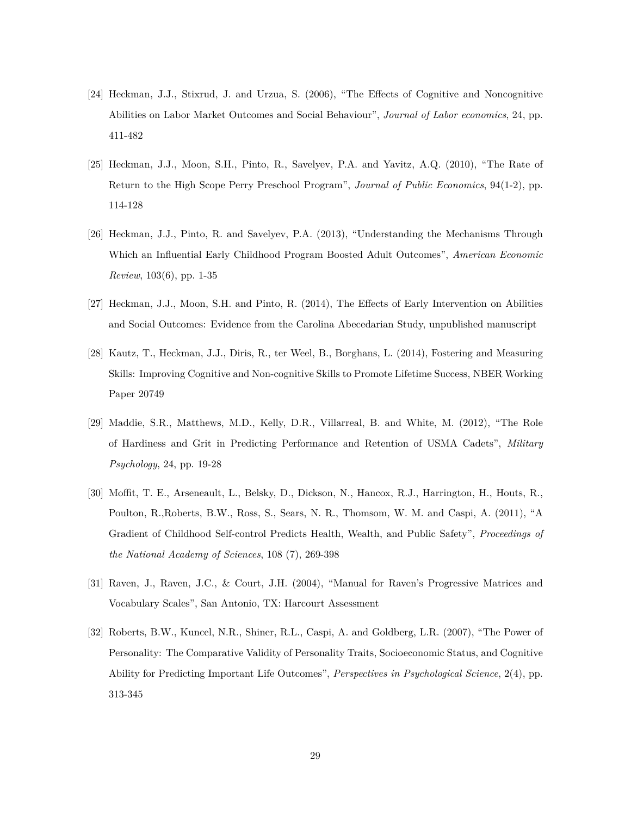- [24] Heckman, J.J., Stixrud, J. and Urzua, S. (2006), "The Effects of Cognitive and Noncognitive Abilities on Labor Market Outcomes and Social Behaviour", *Journal of Labor economics*, 24, pp. 411-482
- [25] Heckman, J.J., Moon, S.H., Pinto, R., Savelyev, P.A. and Yavitz, A.Q. (2010), "The Rate of Return to the High Scope Perry Preschool Program", *Journal of Public Economics*, 94(1-2), pp. 114-128
- [26] Heckman, J.J., Pinto, R. and Savelyev, P.A. (2013), "Understanding the Mechanisms Through Which an Influential Early Childhood Program Boosted Adult Outcomes", *American Economic Review*, 103(6), pp. 1-35
- [27] Heckman, J.J., Moon, S.H. and Pinto, R. (2014), The Effects of Early Intervention on Abilities and Social Outcomes: Evidence from the Carolina Abecedarian Study, unpublished manuscript
- [28] Kautz, T., Heckman, J.J., Diris, R., ter Weel, B., Borghans, L. (2014), Fostering and Measuring Skills: Improving Cognitive and Non-cognitive Skills to Promote Lifetime Success, NBER Working Paper 20749
- [29] Maddie, S.R., Matthews, M.D., Kelly, D.R., Villarreal, B. and White, M. (2012), "The Role of Hardiness and Grit in Predicting Performance and Retention of USMA Cadets", *Military Psychology*, 24, pp. 19-28
- [30] Moffit, T. E., Arseneault, L., Belsky, D., Dickson, N., Hancox, R.J., Harrington, H., Houts, R., Poulton, R.,Roberts, B.W., Ross, S., Sears, N. R., Thomsom, W. M. and Caspi, A. (2011), "A Gradient of Childhood Self-control Predicts Health, Wealth, and Public Safety", *Proceedings of the National Academy of Sciences*, 108 (7), 269-398
- [31] Raven, J., Raven, J.C., & Court, J.H. (2004), "Manual for Raven's Progressive Matrices and Vocabulary Scales", San Antonio, TX: Harcourt Assessment
- [32] Roberts, B.W., Kuncel, N.R., Shiner, R.L., Caspi, A. and Goldberg, L.R. (2007), "The Power of Personality: The Comparative Validity of Personality Traits, Socioeconomic Status, and Cognitive Ability for Predicting Important Life Outcomes", *Perspectives in Psychological Science*, 2(4), pp. 313-345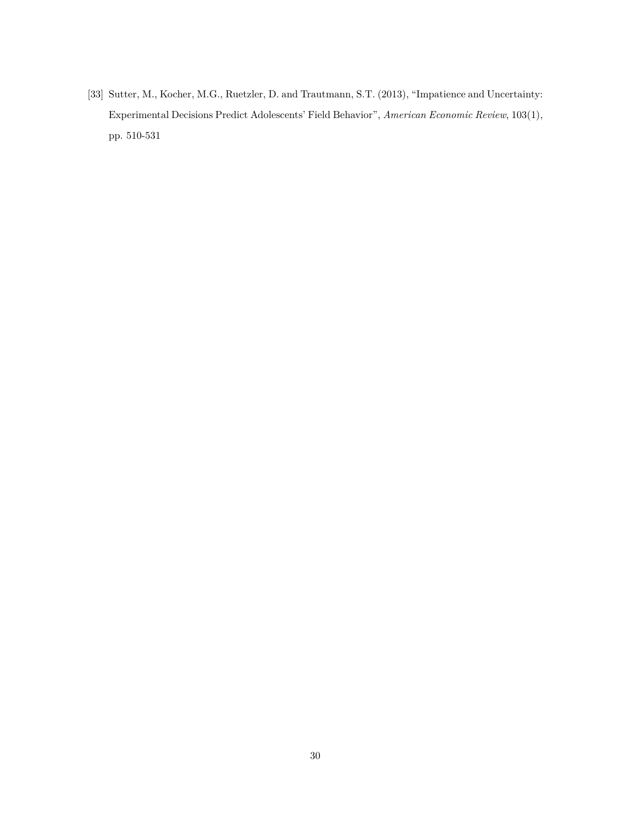[33] Sutter, M., Kocher, M.G., Ruetzler, D. and Trautmann, S.T. (2013), "Impatience and Uncertainty: Experimental Decisions Predict Adolescents' Field Behavior", *American Economic Review*, 103(1), pp. 510-531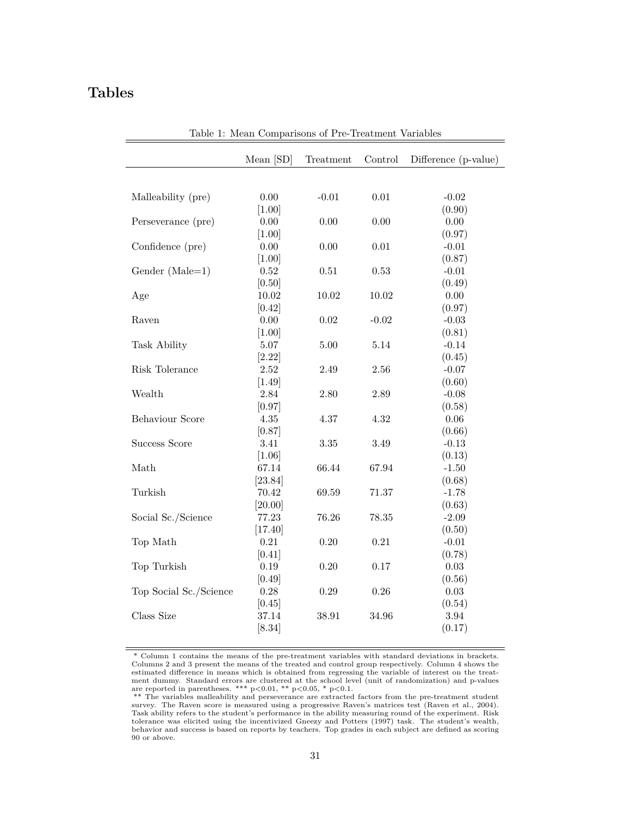## **Tables**

|                        | Mean [SD]  | Treatment | Control | Difference (p-value) |
|------------------------|------------|-----------|---------|----------------------|
|                        |            |           |         |                      |
| Malleability (pre)     | 0.00       | $-0.01$   | 0.01    | $-0.02$              |
|                        | $[1.00]$   |           |         | (0.90)               |
| Perseverance (pre)     | 0.00       | 0.00      | 0.00    | 0.00                 |
|                        | [1.00]     |           |         | (0.97)               |
| Confidence (pre)       | 0.00       | 0.00      | 0.01    | $-0.01$              |
|                        | $[1.00]$   |           |         | (0.87)               |
| Gender (Male=1)        | $\,0.52\,$ | $0.51\,$  | 0.53    | $-0.01$              |
|                        |            |           |         |                      |
|                        | [0.50]     |           |         | (0.49)               |
| Age                    | 10.02      | 10.02     | 10.02   | 0.00                 |
|                        | [0.42]     |           |         | (0.97)               |
| Raven                  | 0.00       | 0.02      | $-0.02$ | $-0.03$              |
|                        | $[1.00]$   |           |         | (0.81)               |
| Task Ability           | 5.07       | 5.00      | 5.14    | $-0.14$              |
|                        | $[2.22]$   |           |         | (0.45)               |
| Risk Tolerance         | 2.52       | 2.49      | 2.56    | $-0.07$              |
|                        | $[1.49]$   |           |         | (0.60)               |
| Wealth                 | 2.84       | 2.80      | 2.89    | $-0.08$              |
|                        | [0.97]     |           |         | (0.58)               |
| <b>Behaviour Score</b> | 4.35       | 4.37      | 4.32    | 0.06                 |
|                        | [0.87]     |           |         | (0.66)               |
| <b>Success Score</b>   | 3.41       | $3.35\,$  | 3.49    | $-0.13$              |
|                        | [1.06]     |           |         | (0.13)               |
| Math                   | 67.14      | 66.44     | 67.94   | $-1.50$              |
|                        | [23.84]    |           |         | (0.68)               |
| Turkish                | 70.42      | 69.59     | 71.37   | $-1.78$              |
|                        | [20.00]    |           |         | (0.63)               |
| Social Sc./Science     | 77.23      | 76.26     | 78.35   | $-2.09$              |
|                        | [17.40]    |           |         | (0.50)               |
| Top Math               | 0.21       | 0.20      | 0.21    | $-0.01$              |
|                        | [0.41]     |           |         | (0.78)               |
| Top Turkish            | 0.19       | 0.20      | 0.17    | 0.03                 |
|                        | [0.49]     |           |         | (0.56)               |
| Top Social Sc./Science | 0.28       | 0.29      | 0.26    | 0.03                 |
|                        | [0.45]     |           |         | (0.54)               |
| Class Size             | 37.14      | 38.91     | 34.96   | 3.94                 |
|                        | [8.34]     |           |         | (0.17)               |
|                        |            |           |         |                      |

Table 1: Mean Comparisons of Pre-Treatment Variables

<sup>\*</sup> Column 1 contains the means of the pre-treatment variables with standard deviations in brackets. Columns 2 and 3 present the means of the treated and control group respectively. Column 4 shows the estimated difference in means which is obtained from regressing the variable of interest on the treatment dummy. Standard errors are clustered at the school level (unit of randomization) and p-values are reported in parentheses. \*\*\*  $p<0.01$ , \*\*  $p<0.05$ , \*  $p<0.1$ .

<sup>\*\*</sup> The variables malleability and perseverance are extracted factors from the pre-treatment student survey. The Raven score is measured using a progressive Raven's matrices test (Raven et al., 2004).<br>Task ability refers to the student's performance in the ability measuring round of the experiment. Risk<br>tolerance was elic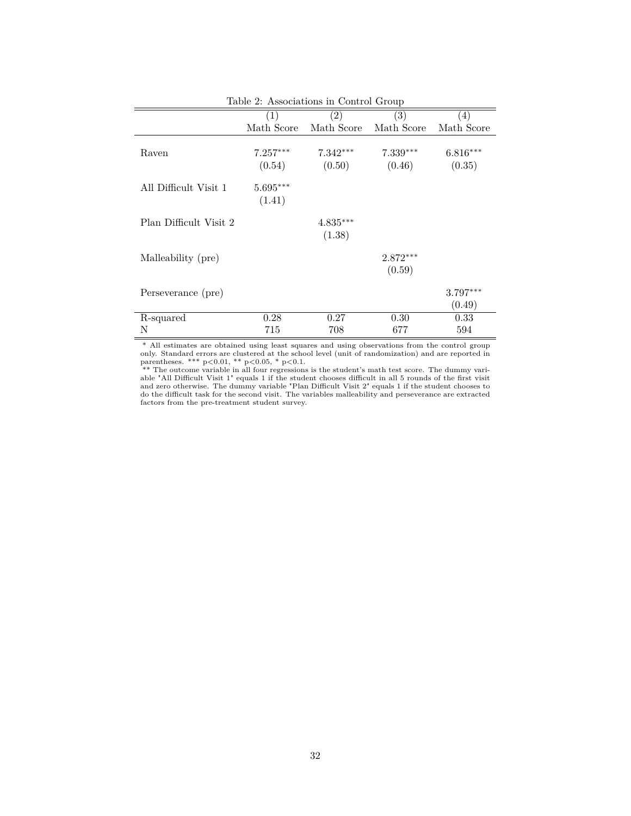| Table 2: Associations in Control Group |                      |                      |                      |                      |  |  |
|----------------------------------------|----------------------|----------------------|----------------------|----------------------|--|--|
|                                        | (1)                  | $\left( 2\right)$    | (3)                  | (4)                  |  |  |
|                                        | Math Score           | Math Score           | Math Score           | Math Score           |  |  |
| Raven                                  | $7.257***$<br>(0.54) | $7.342***$<br>(0.50) | $7.339***$<br>(0.46) | $6.816***$<br>(0.35) |  |  |
| All Difficult Visit 1                  | $5.695***$<br>(1.41) |                      |                      |                      |  |  |
| Plan Difficult Visit 2                 |                      | $4.835***$<br>(1.38) |                      |                      |  |  |
| Malleability (pre)                     |                      |                      | $2.872***$<br>(0.59) |                      |  |  |
| Perseverance (pre)                     |                      |                      |                      | $3.797***$<br>(0.49) |  |  |
| R-squared                              | 0.28                 | 0.27                 | 0.30                 | 0.33                 |  |  |
| N                                      | 715                  | 708                  | 677                  | 594                  |  |  |

\* All estimates are obtained using least squares and using observations from the control group only. Standard errors are clustered at the school level (unit of randomization) and are reported in parentheses. \*\*\*  $p<0.01$ , \*\*  $p<0.05$ , \*  $p<0.1$ .<br>\*\* The outcome variable in all four regressions is the student's math

able "All Difficult Visit 1" equals 1 if the student chooses difficult in all 5 rounds of the first visit<br>and zero otherwise. The dummy variable "Plan Difficult Visit 2" equals 1 if the student chooses to<br>do the difficult factors from the pre-treatment student survey.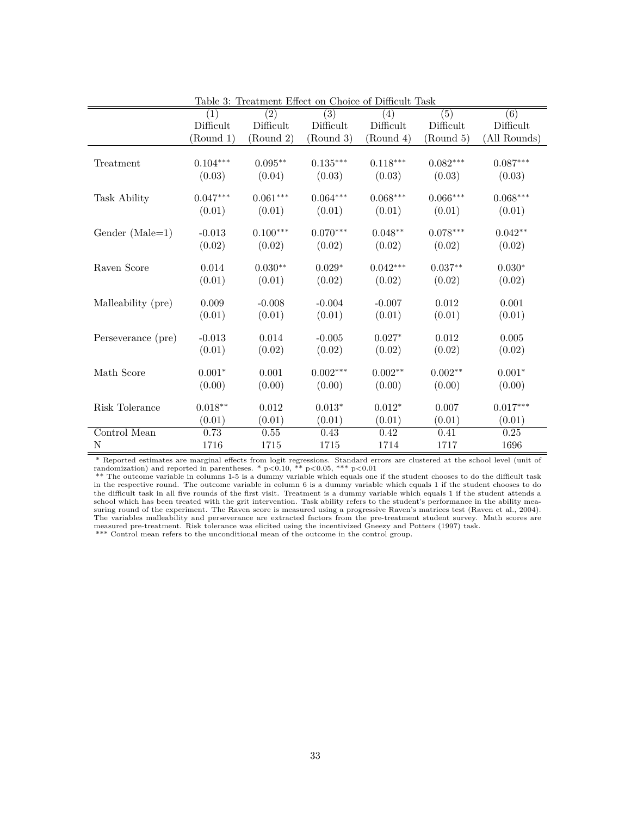| rable 5. Treatment Ellect on Choice of Difficult Task |            |            |            |            |                  |                  |
|-------------------------------------------------------|------------|------------|------------|------------|------------------|------------------|
|                                                       | (1)        | (2)        | (3)        | (4)        | $\overline{(5)}$ | $\overline{(6)}$ |
|                                                       | Difficult  | Difficult  | Difficult  | Difficult  | Difficult        | Difficult        |
|                                                       | (Round 1)  | (Round 2)  | (Round 3)  | (Round 4)  | (Round 5)        | (All Rounds)     |
|                                                       |            |            |            |            |                  |                  |
| Treatment                                             | $0.104***$ | $0.095**$  | $0.135***$ | $0.118***$ | $0.082***$       | $0.087***$       |
|                                                       | (0.03)     | (0.04)     | (0.03)     | (0.03)     | (0.03)           | (0.03)           |
|                                                       |            |            |            |            |                  |                  |
| Task Ability                                          | $0.047***$ | $0.061***$ | $0.064***$ | $0.068***$ | $0.066***$       | $0.068***$       |
|                                                       | (0.01)     | (0.01)     | (0.01)     | (0.01)     | (0.01)           | (0.01)           |
|                                                       |            | $0.100***$ | $0.070***$ | $0.048**$  | $0.078***$       | $0.042**$        |
| Gender $(Male=1)$                                     | $-0.013$   |            |            |            |                  |                  |
|                                                       | (0.02)     | (0.02)     | (0.02)     | (0.02)     | (0.02)           | (0.02)           |
| Raven Score                                           | 0.014      | $0.030**$  | $0.029*$   | $0.042***$ | $0.037**$        | $0.030*$         |
|                                                       | (0.01)     | (0.01)     | (0.02)     | (0.02)     | (0.02)           | (0.02)           |
|                                                       |            |            |            |            |                  |                  |
| Malleability (pre)                                    | 0.009      | $-0.008$   | $-0.004$   | $-0.007$   | 0.012            | 0.001            |
|                                                       | (0.01)     | (0.01)     | (0.01)     | (0.01)     | (0.01)           | (0.01)           |
| Perseverance (pre)                                    | $-0.013$   | 0.014      | $-0.005$   | $0.027*$   | 0.012            | 0.005            |
|                                                       | (0.01)     | (0.02)     | (0.02)     | (0.02)     | (0.02)           | (0.02)           |
|                                                       |            |            |            |            |                  |                  |
| Math Score                                            | $0.001*$   | 0.001      | $0.002***$ | $0.002**$  | $0.002**$        | $0.001*$         |
|                                                       | (0.00)     | (0.00)     | (0.00)     | (0.00)     | (0.00)           | (0.00)           |
|                                                       |            |            |            |            |                  |                  |
| Risk Tolerance                                        | $0.018**$  | 0.012      | $0.013*$   | $0.012*$   | 0.007            | $0.017^{***}\,$  |
|                                                       | (0.01)     | (0.01)     | (0.01)     | (0.01)     | (0.01)           | (0.01)           |
| Control Mean                                          | 0.73       | 0.55       | 0.43       | 0.42       | 0.41             | 0.25             |
| N                                                     | 1716       | 1715       | 1715       | 1714       | 1717             | 1696             |

Table 3: Treatment Effect on Choice of Difficult Task

\* Reported estimates are marginal effects from logit regressions. Standard errors are clustered at the school level (unit of randomization) and reported in parentheses. \*  $p<0.10$ , \*\*  $p<0.05$ , \*\*\*  $p<0.01$ <br>\*\* The outcome

in the respective round. The outcome variable in column 6 is a dummy variable which equals 1 if the student chooses to do<br>the difficult task in all five rounds of the first visit. Treatment is a dummy variable which equals school which has been treated with the grit intervention. Task ability refers to the student's performance in the ability measuring round of the experiment. The Raven score is measured using a progressive Raven's matrices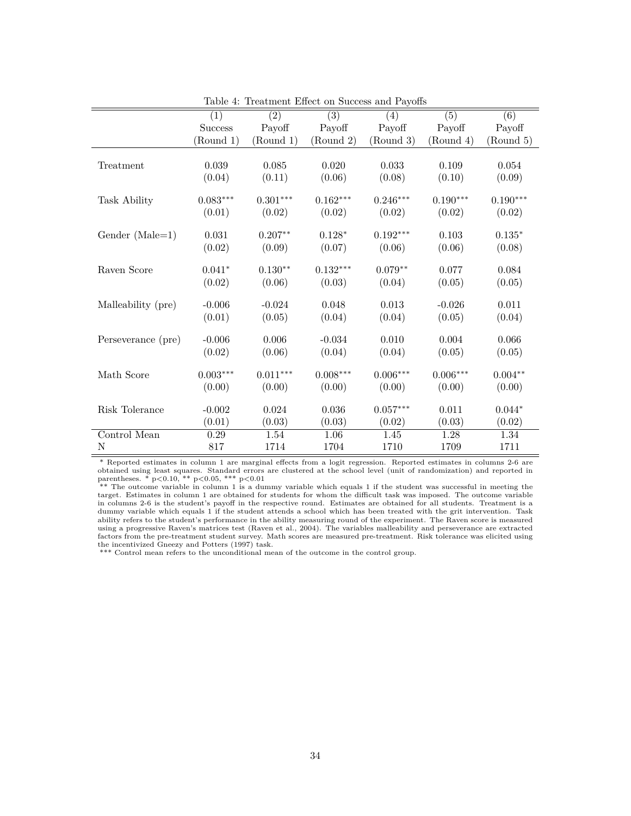|                     |                |                  | Table 4. Treatment Encet on buccess and I ayons |            |                  |                  |
|---------------------|----------------|------------------|-------------------------------------------------|------------|------------------|------------------|
|                     | (1)            | $\overline{(2)}$ | $\overline{(3)}$                                | (4)        | $\overline{(5)}$ | $\overline{(6)}$ |
|                     | <b>Success</b> | Payoff           | Payoff                                          | Payoff     | Payoff           | Payoff           |
|                     | (Round 1)      | (Round 1)        | (Round 2)                                       | (Round 3)  | (Round 4)        | (Round 5)        |
|                     |                |                  |                                                 |            |                  |                  |
| Treatment           | 0.039          | 0.085            | 0.020                                           | 0.033      | 0.109            | 0.054            |
|                     | (0.04)         | (0.11)           | (0.06)                                          | (0.08)     | (0.10)           | (0.09)           |
| Task Ability        | $0.083***$     | $0.301^{***}\,$  | $0.162***$                                      | $0.246***$ | $0.190***$       | $0.190***$       |
|                     | (0.01)         | (0.02)           | (0.02)                                          | (0.02)     | (0.02)           | (0.02)           |
|                     |                |                  |                                                 |            |                  |                  |
| Gender ( $Male=1$ ) | 0.031          | $0.207**$        | $0.128*$                                        | $0.192***$ | 0.103            | $0.135*$         |
|                     | (0.02)         | (0.09)           | (0.07)                                          | (0.06)     | (0.06)           | (0.08)           |
| Raven Score         | $0.041*$       | $0.130**$        | $0.132***$                                      | $0.079**$  | 0.077            | 0.084            |
|                     | (0.02)         | (0.06)           | (0.03)                                          | (0.04)     | (0.05)           | (0.05)           |
| Malleability (pre)  | $-0.006$       | $-0.024$         | 0.048                                           | 0.013      | $-0.026$         | 0.011            |
|                     | (0.01)         | (0.05)           | (0.04)                                          | (0.04)     | (0.05)           | (0.04)           |
|                     |                |                  |                                                 |            |                  |                  |
| Perseverance (pre)  | $-0.006$       | 0.006            | $-0.034$                                        | 0.010      | 0.004            | 0.066            |
|                     | (0.02)         | (0.06)           | (0.04)                                          | (0.04)     | (0.05)           | (0.05)           |
| Math Score          | $0.003***$     | $0.011***$       | $0.008***$                                      | $0.006***$ | $0.006***$       | $0.004**$        |
|                     | (0.00)         | (0.00)           | (0.00)                                          | (0.00)     | (0.00)           | (0.00)           |
|                     |                |                  |                                                 |            |                  |                  |
| Risk Tolerance      | $-0.002$       | 0.024            | 0.036                                           | $0.057***$ | 0.011            | $0.044*$         |
|                     | (0.01)         | (0.03)           | (0.03)                                          | (0.02)     | (0.03)           | (0.02)           |
| Control Mean        | 0.29           | 1.54             | 1.06                                            | 1.45       | 1.28             | 1.34             |
| N                   | 817            | 1714             | 1704                                            | 1710       | 1709             | 1711             |

Table 4: Treatment Effect on Success and Payoffs

\* Reported estimates in column 1 are marginal effects from a logit regression. Reported estimates in columns 2-6 are obtained using least squares. Standard errors are clustered at the school level (unit of randomization) and reported in

parentheses. \* p<0.10, \*\* p<0.05, \*\*\* p<0.01<br>\*\* The outcome variable in column 1 is a dummy variable which equals 1 if the student was successful in meeting the target. Estimates in column 1 are obtained for students for whom the difficult task was imposed. The outcome variable in columns 2-6 is the student's payoff in the respective round. Estimates are obtained for all students. Treatment is a dummy variable which equals 1 if the student attends a school which has been treated with the grit intervention. Task ability refers to the student's performance in the ability measuring round of the experiment. The Raven score is measured using a progressive Raven's matrices test (Raven et al., 2004). The variables malleability and perseverance are extracted factors from the pre-treatment student survey. Math scores are measured pre-treatment. Risk tolerance was elicited using the incentivized Gneezy and Potters (1997) task. \*\*\* Control mean refers to the unconditional mean of the outcome in the control group.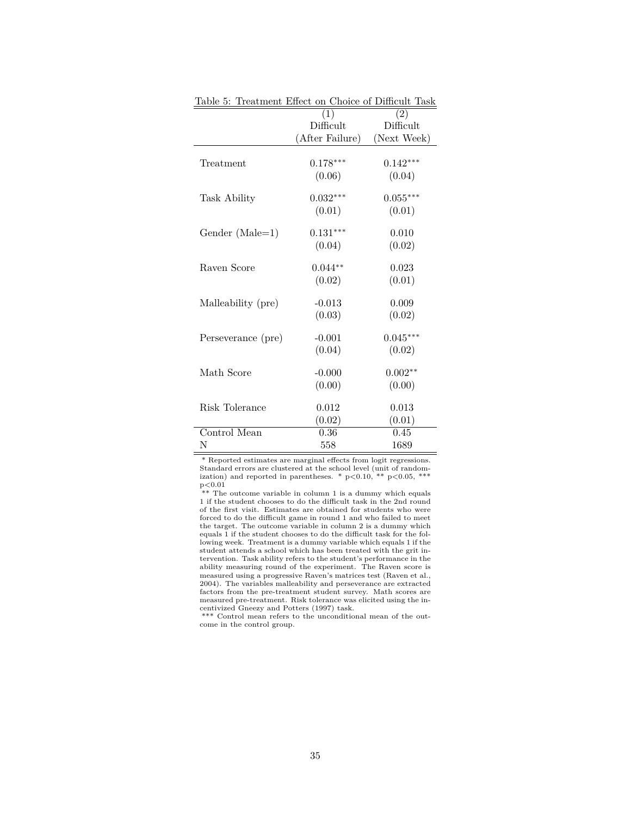| ravic<br>v.<br>Tronometre Tirece on | $_{\rm C1101C}$ | $\alpha$ D <sub>illi</sub> care<br>TOOT |
|-------------------------------------|-----------------|-----------------------------------------|
|                                     | (1)             | $\left( 2\right)$                       |
|                                     | Difficult       | Difficult                               |
|                                     | (After Failure) | (Next Week)                             |
|                                     |                 |                                         |
| Treatment                           | $0.178***$      | $0.142***$                              |
|                                     | (0.06)          | (0.04)                                  |
| Task Ability                        | $0.032***$      | $0.055***$                              |
|                                     | (0.01)          | (0.01)                                  |
|                                     | $0.131***$      | 0.010                                   |
| Gender (Male=1)                     |                 |                                         |
|                                     | (0.04)          | (0.02)                                  |
| Raven Score                         | $0.044**$       | 0.023                                   |
|                                     | (0.02)          | (0.01)                                  |
| Malleability (pre)                  | $-0.013$        | 0.009                                   |
|                                     | (0.03)          | (0.02)                                  |
| Perseverance (pre)                  | $-0.001$        | $0.045***$                              |
|                                     | (0.04)          |                                         |
|                                     |                 | (0.02)                                  |
| Math Score                          | $-0.000$        | $0.002**$                               |
|                                     | (0.00)          | (0.00)                                  |
| Risk Tolerance                      | 0.012           | 0.013                                   |
|                                     | (0.02)          | (0.01)                                  |
| Control Mean                        | 0.36            | 0.45                                    |
| N                                   | 558             | 1689                                    |
|                                     |                 |                                         |

Table 5: Treatment Effect on Choice of Difficult Task

\* Reported estimates are marginal effects from logit regressions. Standard errors are clustered at the school level (unit of random-<br>ization) and reported in parentheses. \*  $p<0.10$ , \*\*  $p<0.05$ , \*\*\*

p<0.01 \*\* The outcome variable in column 1 is a dummy which equals 1 if the student chooses to do the difficult task in the 2nd round of the first visit. Estimates are obtained for students who were forced to do the difficult game in round 1 and who failed to meet the target. The outcome variable in column 2 is a dummy which equals 1 if the student chooses to do the difficult task for the following week. Treatment is a dummy variable which equals 1 if the student attends a school which has been treated with the grit intervention. Task ability refers to the student's performance in the ability measuring round of the experiment. The Raven score is measured using a progressive Raven's matrices test (Raven et al., 2004). The variables malleability and perseverance are extracted factors from the pre-treatment student survey. Math scores are measured pre-treatment. Risk tolerance was elicited using the incentivized Gneezy and Potters (1997) task.

\*\*\* Control mean refers to the unconditional mean of the outcome in the control group.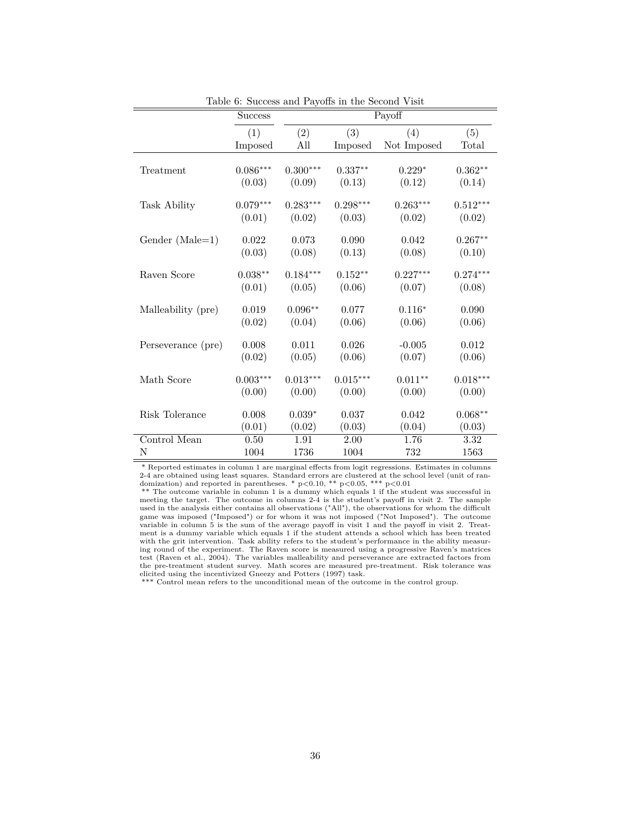|                     | <b>Success</b> | Payoff     |            |             |            |
|---------------------|----------------|------------|------------|-------------|------------|
|                     | (1)            | (2)        | (3)        | (4)         | (5)        |
|                     | Imposed        | All        | Imposed    | Not Imposed | Total      |
|                     |                |            |            |             |            |
| Treatment           | $0.086***$     | $0.300***$ | $0.337**$  | $0.229*$    | $0.362**$  |
|                     | (0.03)         | (0.09)     | (0.13)     | (0.12)      | (0.14)     |
| Task Ability        | $0.079***$     | $0.283***$ | $0.298***$ | $0.263***$  | $0.512***$ |
|                     | (0.01)         | (0.02)     | (0.03)     | (0.02)      | (0.02)     |
| Gender (Male= $1$ ) | 0.022          | 0.073      | 0.090      | 0.042       | $0.267**$  |
|                     | (0.03)         | (0.08)     | (0.13)     | (0.08)      | (0.10)     |
| Raven Score         | $0.038**$      | $0.184***$ | $0.152**$  | $0.227***$  | $0.274***$ |
|                     | (0.01)         | (0.05)     | (0.06)     | (0.07)      | (0.08)     |
| Malleability (pre)  | 0.019          | $0.096**$  | 0.077      | $0.116*$    | 0.090      |
|                     | (0.02)         | (0.04)     | (0.06)     | (0.06)      | (0.06)     |
| Perseverance (pre)  | 0.008          | 0.011      | 0.026      | $-0.005$    | 0.012      |
|                     | (0.02)         | (0.05)     | (0.06)     | (0.07)      | (0.06)     |
| Math Score          | $0.003***$     | $0.013***$ | $0.015***$ | $0.011**$   | $0.018***$ |
|                     | (0.00)         | (0.00)     | (0.00)     | (0.00)      | (0.00)     |
| Risk Tolerance      | 0.008          | $0.039*$   | 0.037      | 0.042       | $0.068**$  |
|                     | (0.01)         | (0.02)     | (0.03)     | (0.04)      | (0.03)     |
| Control Mean        | 0.50           | 1.91       | 2.00       | 1.76        | 3.32       |
| N                   | 1004           | 1736       | 1004       | 732         | 1563       |

Table 6: Success and Payoffs in the Second Visit

\* Reported estimates in column 1 are marginal effects from logit regressions. Estimates in columns 2-4 are obtained using least squares. Standard errors are clustered at the school level (unit of ran-<br>domization) and reported in parentheses. \*  $p<0.10$ , \*\*  $p<0.05$ , \*\*\*  $p<0.01$ 

\*\* The outcome variable in column 1 is a dummy which equals 1 if the student was successful in meeting the target. The outcome in columns 2-4 is the student's payoff in visit 2. The sample used in the analysis either contains all observations ("All"), the observations for whom the difficult game was imposed ("Imposed") or for whom it was not imposed ("Not Imposed"). The outcome variable in column 5 is the sum of the average payoff in visit 1 and the payoff in visit 2. Treatment is a dummy variable which equals 1 if the student attends a school which has been treated with the grit intervention. Task ability refers to the student's performance in the ability measuring round of the experiment. The Raven score is measured using a progressive Raven's matrices test (Raven et al., 2004). The variables malleability and perseverance are extracted factors from the pre-treatment student survey. Math scores are measured pre-treatment. Risk tolerance was elicited using the incentivized Gneezy and Potters (1997) task.

\*\*\* Control mean refers to the unconditional mean of the outcome in the control group.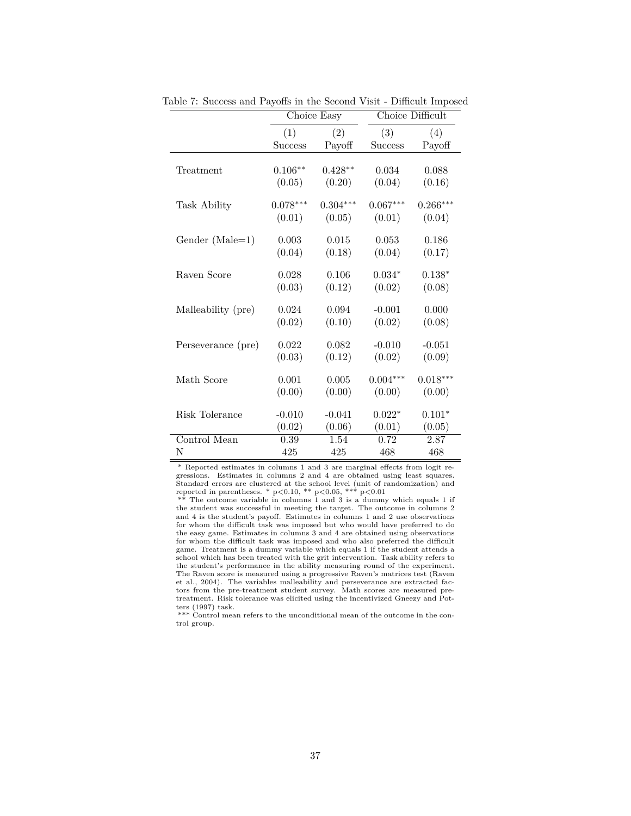|                     |                | Choice Easy |                | Choice Difficult |
|---------------------|----------------|-------------|----------------|------------------|
|                     | (1)            | (2)         | (3)            | (4)              |
|                     | <b>Success</b> | Payoff      | <b>Success</b> | Payoff           |
|                     |                |             |                |                  |
| Treatment           | $0.106**$      | $0.428**$   | 0.034          | 0.088            |
|                     | (0.05)         | (0.20)      | (0.04)         | (0.16)           |
| Task Ability        | $0.078***$     | $0.304***$  | $0.067***$     | $0.266***$       |
|                     | (0.01)         | (0.05)      | (0.01)         | (0.04)           |
| Gender (Male= $1$ ) | 0.003          | 0.015       | 0.053          | 0.186            |
|                     | (0.04)         | (0.18)      | (0.04)         | (0.17)           |
|                     |                |             |                |                  |
| Raven Score         | 0.028          | 0.106       | $0.034*$       | $0.138*$         |
|                     | (0.03)         | (0.12)      | (0.02)         | (0.08)           |
| Malleability (pre)  | 0.024          | 0.094       | $-0.001$       | 0.000            |
|                     | (0.02)         | (0.10)      | (0.02)         | (0.08)           |
| Perseverance (pre)  | 0.022          | 0.082       | $-0.010$       | $-0.051$         |
|                     | (0.03)         | (0.12)      | (0.02)         | (0.09)           |
| Math Score          | 0.001          | 0.005       | $0.004***$     | $0.018***$       |
|                     | (0.00)         | (0.00)      | (0.00)         | (0.00)           |
|                     |                |             |                |                  |
| Risk Tolerance      | $-0.010$       | $-0.041$    | $0.022*$       | $0.101*$         |
|                     | (0.02)         | (0.06)      | (0.01)         | (0.05)           |
| Control Mean        | 0.39           | 1.54        | 0.72           | 2.87             |
| N                   | 425            | 425         | 468            | 468              |

Table 7: Success and Payoffs in the Second Visit - Difficult Imposed

\* Reported estimates in columns 1 and 3 are marginal effects from logit regressions. Estimates in columns 2 and 4 are obtained using least squares. Standard errors are clustered at the school level (unit of randomization) and reported in parentheses. \* p<0.10, \*\* p<0.05, \*\*\* p<0.01

The outcome variable in columns 1 and 3 is a dummy which equals 1 if the student was successful in meeting the target. The outcome in columns 2 and 4 is the student's payoff. Estimates in columns 1 and 2 use observations for whom the difficult task was imposed but who would have preferred to do the easy game. Estimates in columns 3 and 4 are obtained using observations for whom the difficult task was imposed and who also preferred the difficult game. Treatment is a dummy variable which equals 1 if the student attends a school which has been treated with the grit intervention. Task ability refers to the student's performance in the ability measuring round of the experiment. The Raven score is measured using a progressive Raven's matrices test (Raven et al., 2004). The variables malleability and perseverance are extracted fac-tors from the pre-treatment student survey. Math scores are measured pretreatment. Risk tolerance was elicited using the incentivized Gneezy and Potters (1997) task. \*\*\* Control mean refers to the unconditional mean of the outcome in the con-

trol group.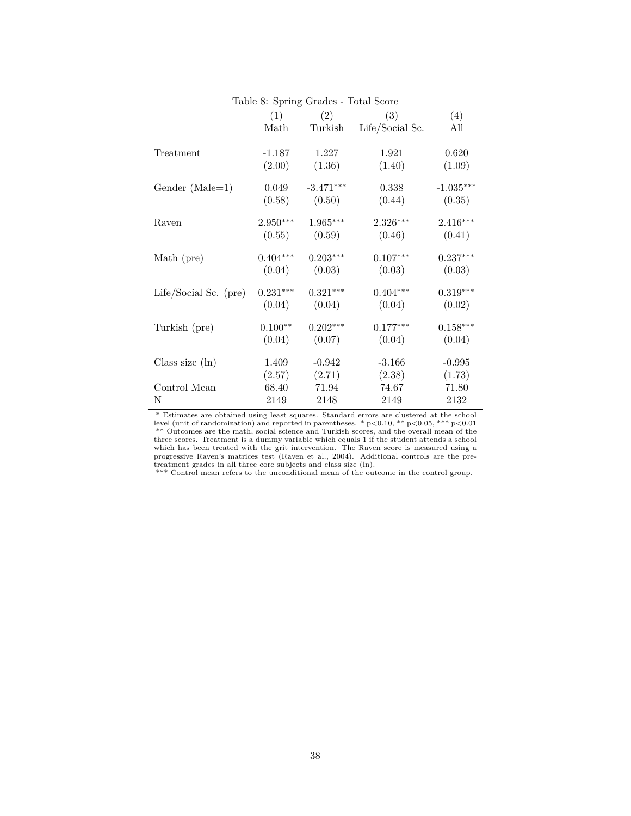|                                |            | Table 8: Spring Grades - Total Score |                 |             |
|--------------------------------|------------|--------------------------------------|-----------------|-------------|
|                                | (1)        | (2)                                  | (3)             | (4)         |
|                                | Math       | Turkish                              | Life/Social Sc. | All         |
|                                |            |                                      |                 |             |
| Treatment                      | $-1.187$   | 1.227                                | 1.921           | 0.620       |
|                                | (2.00)     | (1.36)                               | (1.40)          | (1.09)      |
|                                |            |                                      |                 |             |
| Gender $(Male=1)$              | 0.049      | $-3.471***$                          | 0.338           | $-1.035***$ |
|                                | (0.58)     | (0.50)                               | (0.44)          | (0.35)      |
| Raven                          | $2.950***$ | $1.965***$                           | $2.326***$      | $2.416***$  |
|                                | (0.55)     | (0.59)                               | (0.46)          | (0.41)      |
|                                |            |                                      |                 |             |
| Math (pre)                     | $0.404***$ | $0.203***$                           | $0.107***$      | $0.237***$  |
|                                | (0.04)     | (0.03)                               | (0.03)          | (0.03)      |
| Life/Social Sc. $(\text{pre})$ | $0.231***$ | $0.321***$                           | $0.404***$      | $0.319***$  |
|                                | (0.04)     | (0.04)                               | (0.04)          | (0.02)      |
|                                |            |                                      |                 |             |
| Turkish (pre)                  | $0.100**$  | $0.202***$                           | $0.177***$      | $0.158***$  |
|                                | (0.04)     | (0.07)                               | (0.04)          | (0.04)      |
|                                |            |                                      |                 |             |
| Class size $(\ln)$             | 1.409      | $-0.942$                             | $-3.166$        | $-0.995$    |
|                                | (2.57)     | (2.71)                               | (2.38)          | (1.73)      |
| Control Mean                   | 68.40      | 71.94                                | 74.67           | 71.80       |
| Ν                              | 2149       | 2148                                 | 2149            | 2132        |

Table 8: Spring Crades - Total S.

\* Estimates are obtained using least squares. Standard errors are clustered at the school<br>level (unit of randomization) and reported in parentheses. \*  $p<0.10$ , \*\*  $p<0.05$ , \*\*\*  $p<0.01$ <br>\*\* Outcomes are the math, social s which has been treated with the grit intervention. The Raven score is measured using a progressive Raven's matrices test (Raven et al., 2004). Additional controls are the pretreatment grades in all three core subjects and class size (ln).

\*\*\* Control mean refers to the unconditional mean of the outcome in the control group.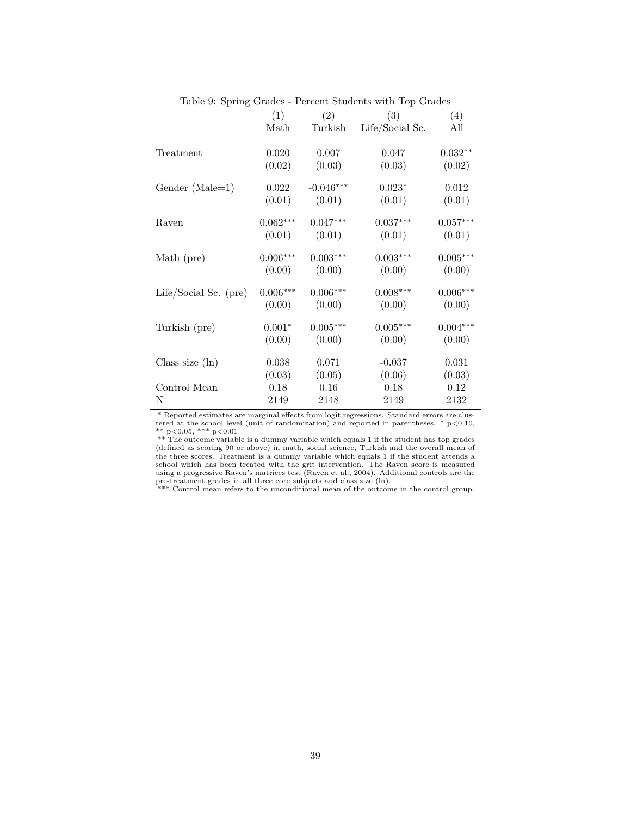|                                | (1)        | (2)         | $\overline{(3)}$ | (4)        |
|--------------------------------|------------|-------------|------------------|------------|
|                                | Math       | Turkish     | Life/Social Sc.  | All        |
|                                |            |             |                  |            |
| Treatment                      | 0.020      | 0.007       | 0.047            | $0.032**$  |
|                                | (0.02)     | (0.03)      | (0.03)           | (0.02)     |
|                                |            |             |                  |            |
| Gender $(Male=1)$              | 0.022      | $-0.046***$ | $0.023*$         | 0.012      |
|                                | (0.01)     | (0.01)      | (0.01)           | (0.01)     |
|                                |            |             |                  |            |
| Raven                          | $0.062***$ | $0.047***$  | $0.037***$       | $0.057***$ |
|                                | (0.01)     | (0.01)      | (0.01)           | (0.01)     |
|                                |            |             |                  |            |
| Math (pre)                     | $0.006***$ | $0.003***$  | $0.003***$       | $0.005***$ |
|                                | (0.00)     | (0.00)      | (0.00)           | (0.00)     |
|                                |            |             |                  |            |
| Life/Social Sc. $(\text{pre})$ | $0.006***$ | $0.006***$  | $0.008***$       | $0.006***$ |
|                                | (0.00)     | (0.00)      | (0.00)           | (0.00)     |
|                                |            |             |                  |            |
| Turkish (pre)                  | $0.001*$   | $0.005***$  | $0.005***$       | $0.004***$ |
|                                | (0.00)     | (0.00)      | (0.00)           | (0.00)     |
|                                |            |             |                  |            |
| Class size $(\ln)$             | 0.038      | 0.071       | $-0.037$         | 0.031      |
|                                | (0.03)     | (0.05)      | (0.06)           | (0.03)     |
| Control Mean                   | 0.18       | 0.16        | 0.18             | 0.12       |
| Ν                              | 2149       | 2148        | 2149             | 2132       |

Table 9: Spring Grades - Percent Students with Top Grades

\* Reported estimates are marginal effects from logit regressions. Standard errors are clustered at the school level (unit of randomization) and reported in parentheses. \*  $p<0.10$ ,

\*\* p<0.05, \*\*\* p<0.01 \*\* The outcome variable is a dummy variable which equals 1 if the student has top grades (defined as scoring 90 or above) in math, social science, Turkish and the overall mean of the three scores. Treatment is a dummy variable which equals 1 if the student attends a school which has been treated with the grit intervention. The Raven score is measured using a progressive Raven's matrices test (Raven et al., 2004). Additional controls are the pre-treatment grades in all three core subjects and class size (ln).

\*\*\* Control mean refers to the unconditional mean of the outcome in the control group.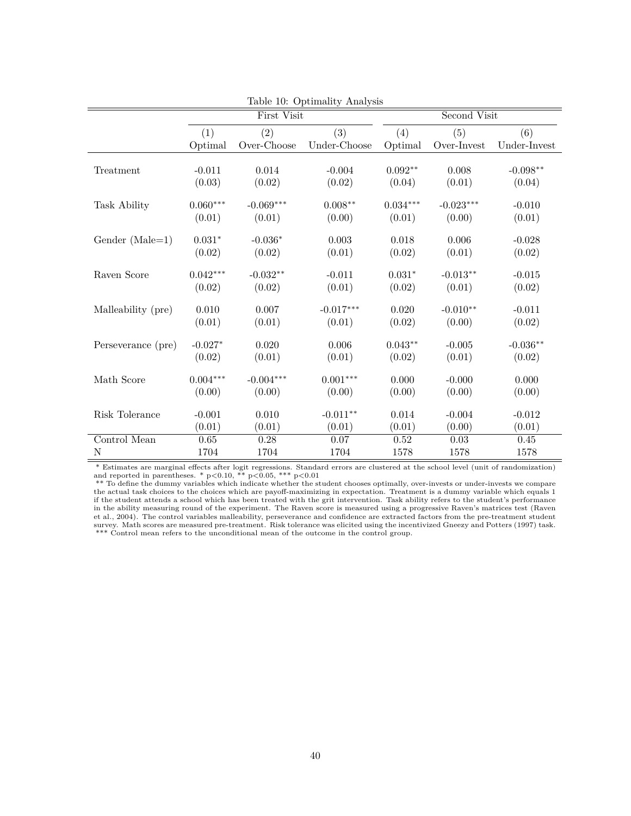| rable ro. Optimality Allarysis |                        |                    |              |              |             |              |  |
|--------------------------------|------------------------|--------------------|--------------|--------------|-------------|--------------|--|
|                                |                        | <b>First Visit</b> |              | Second Visit |             |              |  |
|                                | (1)                    | (2)                | (3)          | (4)          | (5)         | (6)          |  |
|                                | Optimal                | Over-Choose        | Under-Choose | Optimal      | Over-Invest | Under-Invest |  |
|                                |                        |                    |              |              |             |              |  |
| Treatment                      | $-0.011$               | 0.014              | $-0.004$     | $0.092**$    | 0.008       | $-0.098**$   |  |
|                                | (0.03)                 | (0.02)             | (0.02)       | (0.04)       | (0.01)      | (0.04)       |  |
| Task Ability                   | $0.060^{\ast\ast\ast}$ | $-0.069***$        | $0.008**$    | $0.034***$   | $-0.023***$ | $-0.010$     |  |
|                                | (0.01)                 | (0.01)             | (0.00)       | (0.01)       | (0.00)      | (0.01)       |  |
|                                |                        |                    |              |              |             |              |  |
| Gender ( $Male=1$ )            | $0.031*$               | $-0.036*$          | 0.003        | 0.018        | 0.006       | $-0.028$     |  |
|                                | (0.02)                 | (0.02)             | (0.01)       | (0.02)       | (0.01)      | (0.02)       |  |
| Raven Score                    | $0.042***$             | $-0.032**$         | $-0.011$     | $0.031*$     | $-0.013**$  | $-0.015$     |  |
|                                | (0.02)                 | (0.02)             | (0.01)       | (0.02)       | (0.01)      | (0.02)       |  |
| Malleability (pre)             | 0.010                  | 0.007              | $-0.017***$  | 0.020        | $-0.010**$  | $-0.011$     |  |
|                                | (0.01)                 | (0.01)             | (0.01)       | (0.02)       | (0.00)      | (0.02)       |  |
|                                |                        |                    |              |              |             |              |  |
| Perseverance (pre)             | $-0.027*$              | 0.020              | 0.006        | $0.043**$    | $-0.005$    | $-0.036**$   |  |
|                                | (0.02)                 | (0.01)             | (0.01)       | (0.02)       | (0.01)      | (0.02)       |  |
| Math Score                     | $0.004***$             | $-0.004***$        | $0.001***$   | 0.000        | $-0.000$    | 0.000        |  |
|                                | (0.00)                 | (0.00)             | (0.00)       | (0.00)       | (0.00)      | (0.00)       |  |
|                                |                        |                    |              |              |             |              |  |
| Risk Tolerance                 | $-0.001$               | 0.010              | $-0.011**$   | 0.014        | $-0.004$    | $-0.012$     |  |
|                                | (0.01)                 | (0.01)             | (0.01)       | (0.01)       | (0.00)      | (0.01)       |  |
| Control Mean                   | 0.65                   | 0.28               | 0.07         | 0.52         | 0.03        | 0.45         |  |
| $\mathbf N$                    | 1704                   | 1704               | 1704         | 1578         | 1578        | 1578         |  |

\* Estimates are marginal effects after logit regressions. Standard errors are clustered at the school level (unit of randomization) and reported in parentheses. \*  $p<0.10$ , \*\*  $p<0.05$ , \*\*\*  $p<0.01$ <br>\*\* To define the dummy

the actual task choices to the choices which are payoff-maximizing in expectation. Treatment is a dummy variable which equals 1<br>if the student attends a school which has been treated with the grit intervention. Task abilit in the ability measuring round of the experiment. The Raven score is measured using a progressive Raven's matrices test (Raven et al., 2004). The control variables malleability, perseverance and confidence are extracted factors from the pre-treatment student survey. Math scores are measured pre-treatment. Risk tolerance was elicited using the incentivized Gneezy and Potters (1997) task. \*\*\* Control mean refers to the unconditional mean of the outcome in the control group.

Table 10: Optimality Analysis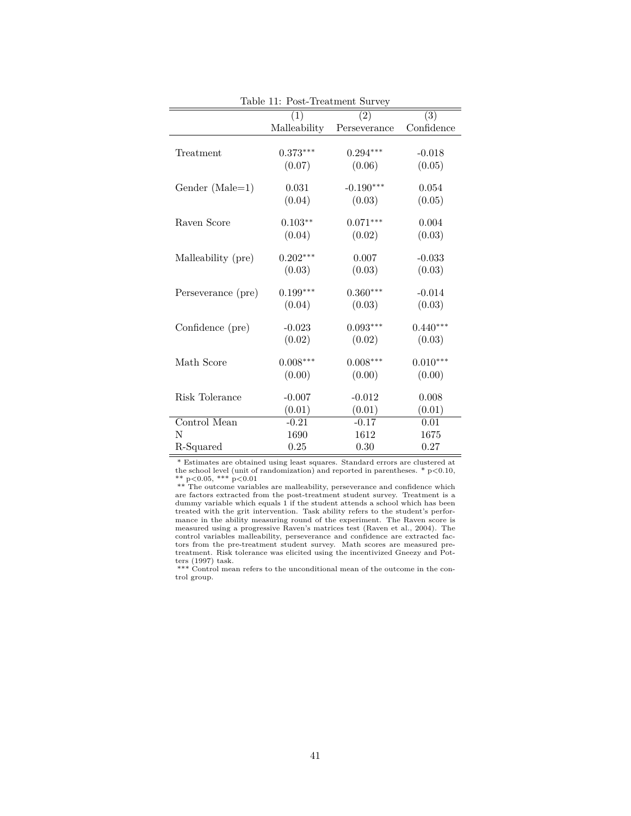|                     | rable II: Fost-Ireatment Survey |              |                  |
|---------------------|---------------------------------|--------------|------------------|
|                     | $\overline{(1)}$                | (2)          | $\overline{(3)}$ |
|                     | Malleability                    | Perseverance | Confidence       |
|                     |                                 |              |                  |
| Treatment           | $0.373***$                      | $0.294***$   | $-0.018$         |
|                     | (0.07)                          | (0.06)       | (0.05)           |
| Gender ( $Male=1$ ) | 0.031                           | $-0.190***$  | 0.054            |
|                     | (0.04)                          | (0.03)       | (0.05)           |
| Raven Score         | $0.103**$                       | $0.071***$   | 0.004            |
|                     | (0.04)                          | (0.02)       | (0.03)           |
| Malleability (pre)  | $0.202***$                      | 0.007        | $-0.033$         |
|                     | (0.03)                          | (0.03)       | (0.03)           |
| Perseverance (pre)  | $0.199***$                      | $0.360***$   | $-0.014$         |
|                     | (0.04)                          | (0.03)       | (0.03)           |
| Confidence (pre)    | $-0.023$                        | $0.093***$   | $0.440***$       |
|                     | (0.02)                          | (0.02)       | (0.03)           |
| Math Score          | $0.008***$                      | $0.008***$   | $0.010***$       |
|                     | (0.00)                          | (0.00)       | (0.00)           |
| Risk Tolerance      | $-0.007$                        | $-0.012$     | 0.008            |
|                     | (0.01)                          | (0.01)       | (0.01)           |
| Control Mean        | $-0.21$                         | $-0.17$      | 0.01             |
| N                   | 1690                            | 1612         | 1675             |
| R-Squared           | 0.25                            | 0.30         | 0.27             |

Table 11: Post-Treatment Survey

\* Estimates are obtained using least squares. Standard errors are clustered at the school level (unit of randomization) and reported in parentheses.  $*$  p $< 0.10$ ,

\*\*  $p<0.05$ , \*\*\*  $p<0.01$ <br>\*\* The outcome variables are malleability, perseverance and confidence which are factors extracted from the post-treatment student survey. Treatment is a dummy variable which equals 1 if the student attends a school which has been treated with the grit intervention. Task ability refers to the student's performance in the ability measuring round of the experiment. The Raven score is measured using a progressive Raven's matrices test (Raven et al., 2004). The control variables malleability, perseverance and confidence are extracted factors from the pre-treatment student survey. Math scores are measured pre-treatment. Risk tolerance was elicited using the incentivized Gneezy and Pot-

ters (1997) task. \*\*\* Control mean refers to the unconditional mean of the outcome in the control group.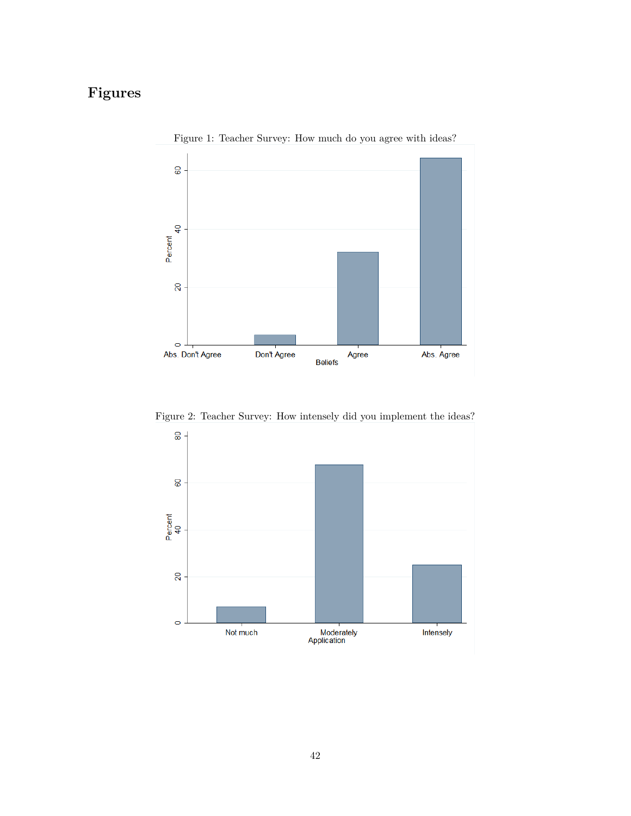## **Figures**



Figure 1: Teacher Survey: How much do you agree with ideas?

Figure 2: Teacher Survey: How intensely did you implement the ideas?

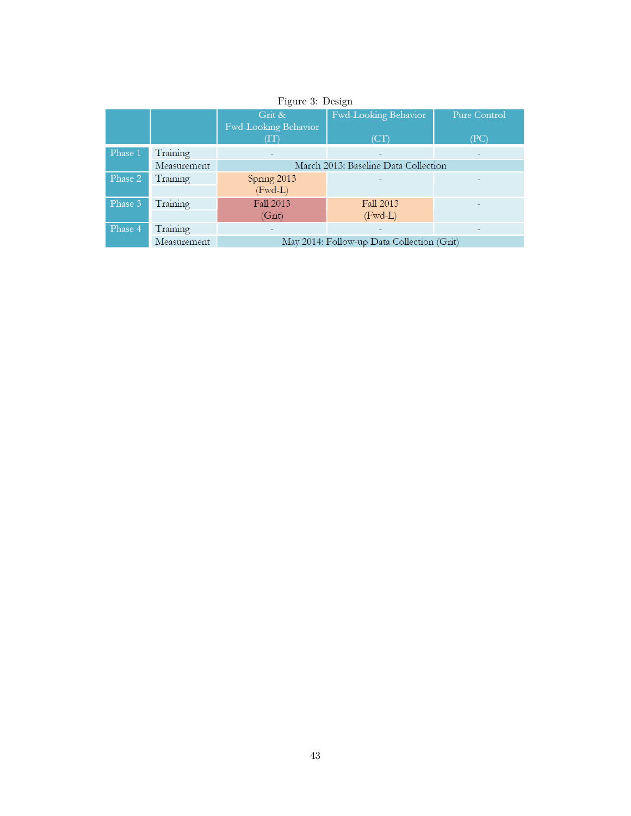| rigure 3: Design |             |                            |                                            |              |  |  |  |  |
|------------------|-------------|----------------------------|--------------------------------------------|--------------|--|--|--|--|
|                  |             | Grit &                     | Fwd-Looking Behavior                       | Pure Control |  |  |  |  |
|                  |             | Fwd-Looking Behavior<br>TГ | (CT)                                       | (PC)         |  |  |  |  |
| Phase 1          | Training    |                            |                                            |              |  |  |  |  |
|                  | Measurement |                            | March 2013: Baseline Data Collection       |              |  |  |  |  |
| Phase 2          | Training    | Spring 2013                |                                            |              |  |  |  |  |
|                  |             | $(Fwd-L)$                  |                                            |              |  |  |  |  |
| Phase 3          | Training    | Fall 2013                  | Fall 2013                                  |              |  |  |  |  |
|                  |             | (Grit)                     | $(Fwd-L)$                                  |              |  |  |  |  |
| Phase 4          | Training    |                            |                                            |              |  |  |  |  |
|                  | Measurement |                            | May 2014: Follow-up Data Collection (Grit) |              |  |  |  |  |

## Figure 3: Design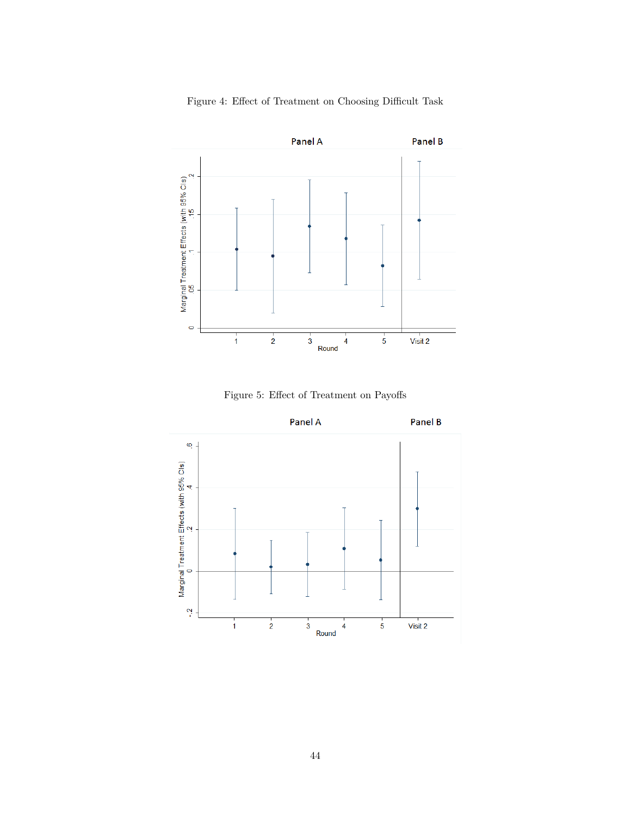

Figure 4: Effect of Treatment on Choosing Difficult Task

Figure 5: Effect of Treatment on Payoffs

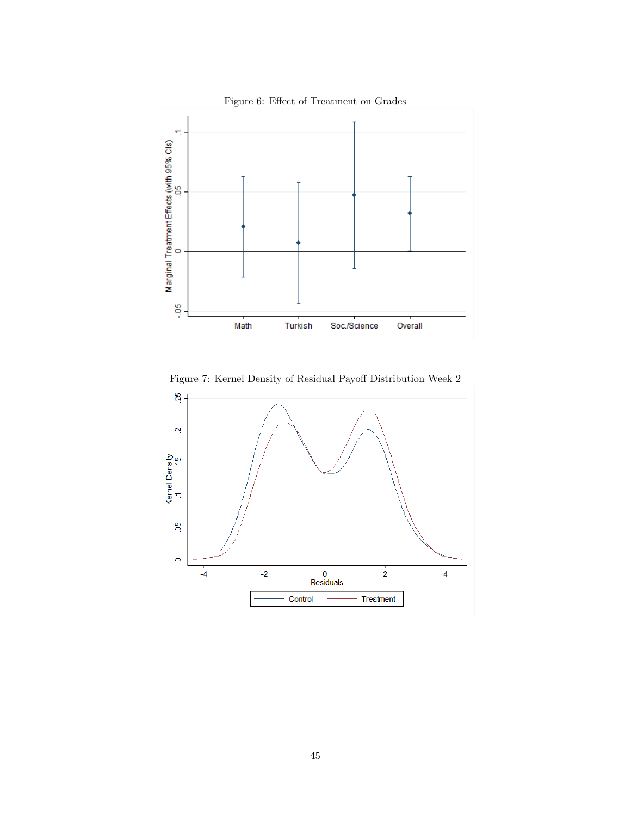



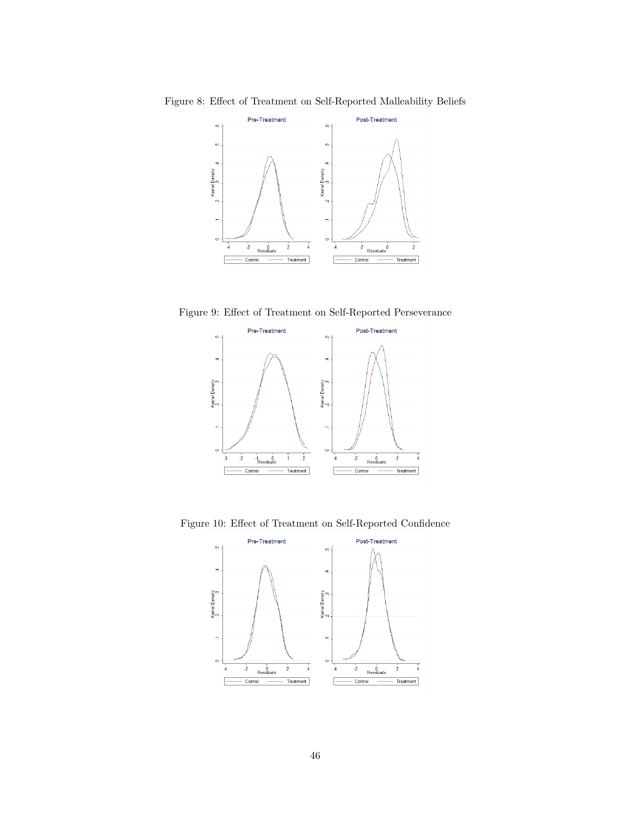

Figure 8: Effect of Treatment on Self-Reported Malleability Beliefs

Figure 9: Effect of Treatment on Self-Reported Perseverance



Figure 10: Effect of Treatment on Self-Reported Confidence

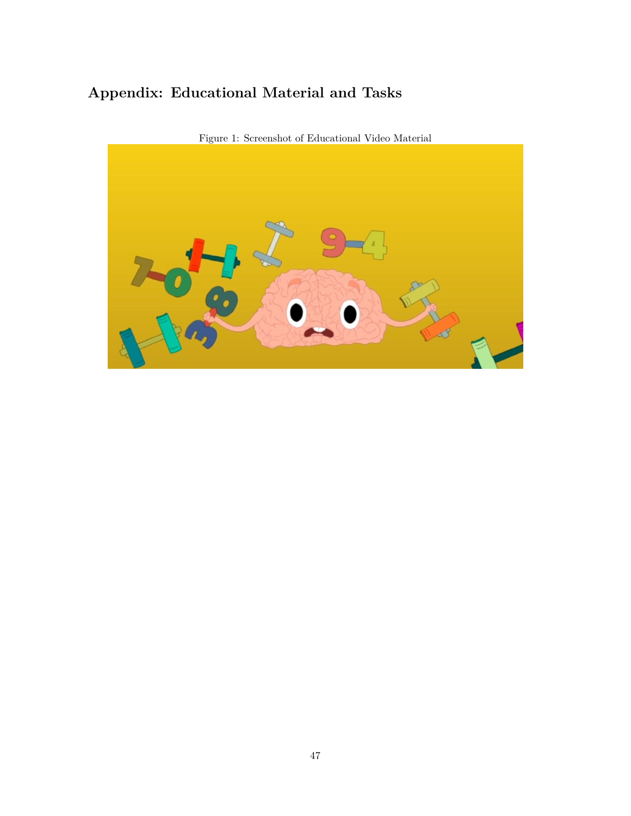## **Appendix: Educational Material and Tasks**



Figure 1: Screenshot of Educational Video Material